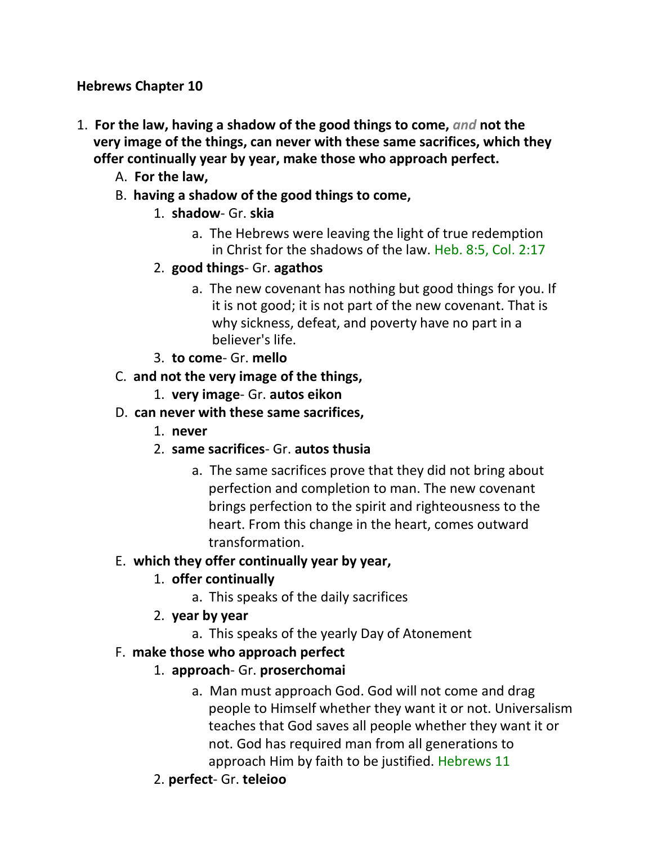#### **Hebrews Chapter 10**

- 1. **For the law, having a shadow of the good things to come,** *and* **not the very image of the things, can never with these same sacrifices, which they offer continually year by year, make those who approach perfect.**
	- A. **For the law,**
	- B. **having a shadow of the good things to come,**
		- 1. **shadow** Gr. **skia**
			- a. The Hebrews were leaving the light of true redemption in Christ for the shadows of the law. Heb. 8:5, Col. 2:17
		- 2. **good things** Gr. **agathos**
			- a. The new covenant has nothing but good things for you. If it is not good; it is not part of the new covenant. That is why sickness, defeat, and poverty have no part in a believer's life.
		- 3. **to come** Gr. **mello**
	- C. **and not the very image of the things,**
		- 1. **very image** Gr. **autos eikon**
	- D. **can never with these same sacrifices,**
		- 1. **never**
		- 2. **same sacrifices** Gr. **autos thusia**
			- a. The same sacrifices prove that they did not bring about perfection and completion to man. The new covenant brings perfection to the spirit and righteousness to the heart. From this change in the heart, comes outward transformation.

# E. **which they offer continually year by year,**

# 1. **offer continually**

- a. This speaks of the daily sacrifices
- 2. **year by year**
	- a. This speaks of the yearly Day of Atonement

# F. **make those who approach perfect**

- 1. **approach** Gr. **proserchomai**
	- a. Man must approach God. God will not come and drag people to Himself whether they want it or not. Universalism teaches that God saves all people whether they want it or not. God has required man from all generations to approach Him by faith to be justified. Hebrews 11
- 2. **perfect** Gr. **teleioo**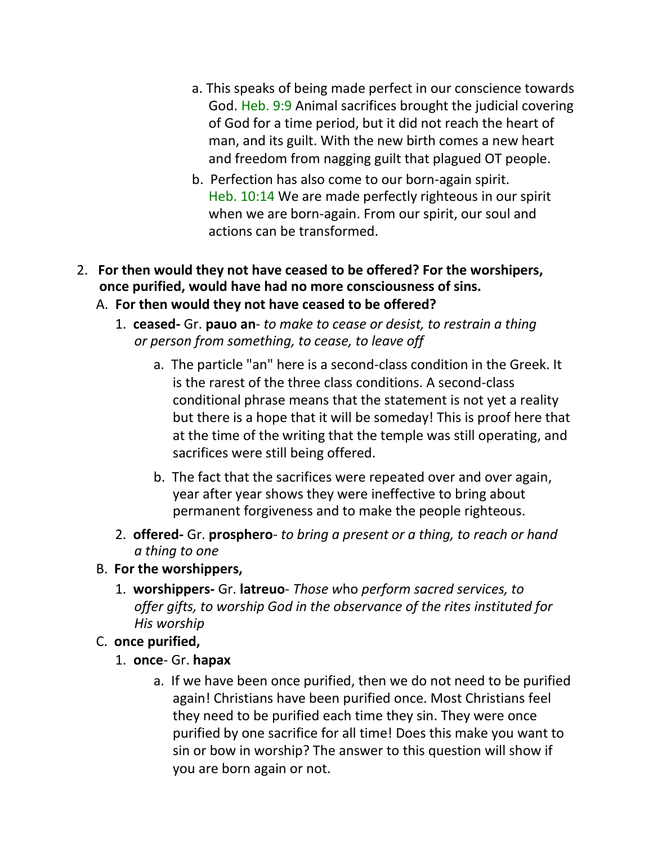- a. This speaks of being made perfect in our conscience towards God. Heb. 9:9 Animal sacrifices brought the judicial covering of God for a time period, but it did not reach the heart of man, and its guilt. With the new birth comes a new heart and freedom from nagging guilt that plagued OT people.
- b. Perfection has also come to our born-again spirit. Heb. 10:14 We are made perfectly righteous in our spirit when we are born-again. From our spirit, our soul and actions can be transformed.
- 2. **For then would they not have ceased to be offered? For the worshipers, once purified, would have had no more consciousness of sins.**
	- A. **For then would they not have ceased to be offered?**
		- 1. **ceased-** Gr. **pauo an** *to make to cease or desist, to restrain a thing or person from something, to cease, to leave off*
			- a. The particle "an" here is a second-class condition in the Greek. It is the rarest of the three class conditions. A second-class conditional phrase means that the statement is not yet a reality but there is a hope that it will be someday! This is proof here that at the time of the writing that the temple was still operating, and sacrifices were still being offered.
			- b. The fact that the sacrifices were repeated over and over again, year after year shows they were ineffective to bring about permanent forgiveness and to make the people righteous.
		- 2. **offered-** Gr. **prosphero** *to bring a present or a thing, to reach or hand a thing to one*

#### B. **For the worshippers,**

1. **worshippers-** Gr. **latreuo**- *Those w*ho *perform sacred services, to offer gifts, to worship God in the observance of the rites instituted for His worship*

## C. **once purified,**

- 1. **once** Gr. **hapax**
	- a. If we have been once purified, then we do not need to be purified again! Christians have been purified once. Most Christians feel they need to be purified each time they sin. They were once purified by one sacrifice for all time! Does this make you want to sin or bow in worship? The answer to this question will show if you are born again or not.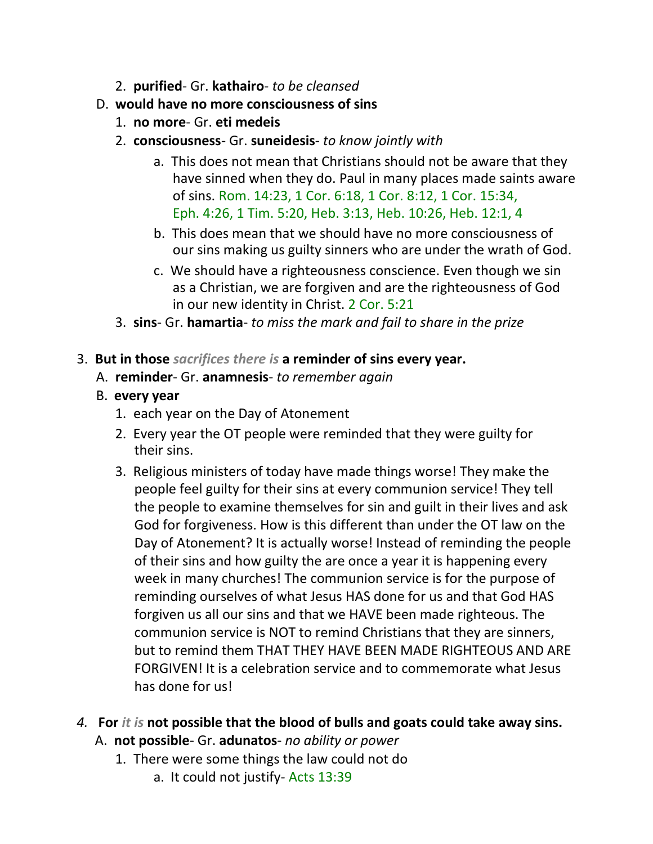- 2. **purified** Gr. **kathairo** *to be cleansed*
- D. **would have no more consciousness of sins**
	- 1. **no more** Gr. **eti medeis**
	- 2. **consciousness** Gr. **suneidesis** *to know jointly with*
		- a. This does not mean that Christians should not be aware that they have sinned when they do. Paul in many places made saints aware of sins. Rom. 14:23, 1 Cor. 6:18, 1 Cor. 8:12, 1 Cor. 15:34, Eph. 4:26, 1 Tim. 5:20, Heb. 3:13, Heb. 10:26, Heb. 12:1, 4
		- b. This does mean that we should have no more consciousness of our sins making us guilty sinners who are under the wrath of God.
		- c. We should have a righteousness conscience. Even though we sin as a Christian, we are forgiven and are the righteousness of God in our new identity in Christ. 2 Cor. 5:21
	- 3. **sins** Gr. **hamartia** *to miss the mark and fail to share in the prize*
- 3. **But in those** *sacrifices there is* **a reminder of sins every year.**
	- A. **reminder** Gr. **anamnesis** *to remember again*
	- B. **every year**
		- 1. each year on the Day of Atonement
		- 2. Every year the OT people were reminded that they were guilty for their sins.
		- 3. Religious ministers of today have made things worse! They make the people feel guilty for their sins at every communion service! They tell the people to examine themselves for sin and guilt in their lives and ask God for forgiveness. How is this different than under the OT law on the Day of Atonement? It is actually worse! Instead of reminding the people of their sins and how guilty the are once a year it is happening every week in many churches! The communion service is for the purpose of reminding ourselves of what Jesus HAS done for us and that God HAS forgiven us all our sins and that we HAVE been made righteous. The communion service is NOT to remind Christians that they are sinners, but to remind them THAT THEY HAVE BEEN MADE RIGHTEOUS AND ARE FORGIVEN! It is a celebration service and to commemorate what Jesus has done for us!
- *4.* **For** *it is* **not possible that the blood of bulls and goats could take away sins.** A. **not possible**- Gr. **adunatos**- *no ability or power*
	- 1. There were some things the law could not do
		- a. It could not justify- Acts 13:39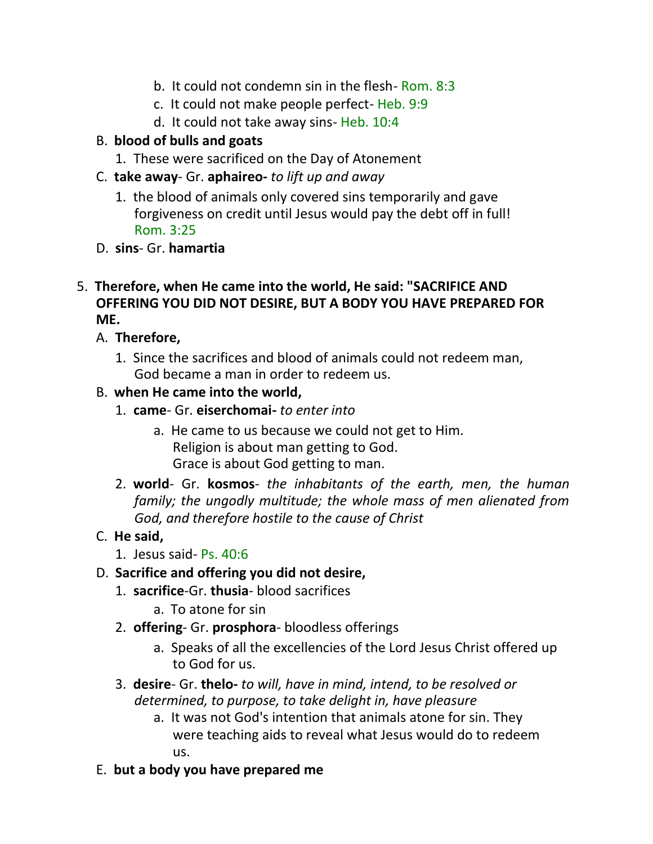- b. It could not condemn sin in the flesh- Rom. 8:3
- c. It could not make people perfect- Heb. 9:9
- d. It could not take away sins- Heb. 10:4

## B. **blood of bulls and goats**

- 1. These were sacrificed on the Day of Atonement
- C. **take away** Gr. **aphaireo-** *to lift up and away*
	- 1. the blood of animals only covered sins temporarily and gave forgiveness on credit until Jesus would pay the debt off in full! Rom. 3:25
- D. **sins** Gr. **hamartia**
- 5. **Therefore, when He came into the world, He said: "SACRIFICE AND OFFERING YOU DID NOT DESIRE, BUT A BODY YOU HAVE PREPARED FOR ME.**
	- A. **Therefore,**
		- 1. Since the sacrifices and blood of animals could not redeem man, God became a man in order to redeem us.

### B. **when He came into the world,**

- 1. **came** Gr. **eiserchomai-** *to enter into*
	- a. He came to us because we could not get to Him. Religion is about man getting to God. Grace is about God getting to man.
- 2. **world** Gr. **kosmos** *the inhabitants of the earth, men, the human family; the ungodly multitude; the whole mass of men alienated from God, and therefore hostile to the cause of Christ*

## C. **He said,**

1. Jesus said- Ps. 40:6

#### D. **Sacrifice and offering you did not desire,**

- 1. **sacrifice**-Gr. **thusia** blood sacrifices
	- a. To atone for sin
- 2. **offering** Gr. **prosphora** bloodless offerings
	- a. Speaks of all the excellencies of the Lord Jesus Christ offered up to God for us.
- 3. **desire** Gr. **thelo-** *to will, have in mind, intend, to be resolved or determined, to purpose, to take delight in, have pleasure*
	- a. It was not God's intention that animals atone for sin. They were teaching aids to reveal what Jesus would do to redeem us.
- E. **but a body you have prepared me**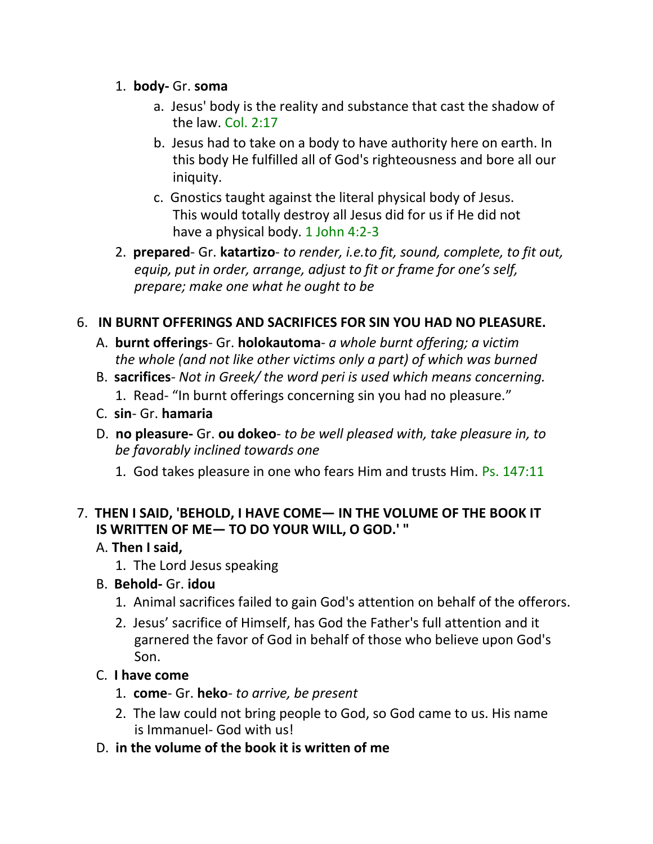- 1. **body-** Gr. **soma**
	- a. Jesus' body is the reality and substance that cast the shadow of the law. Col. 2:17
	- b. Jesus had to take on a body to have authority here on earth. In this body He fulfilled all of God's righteousness and bore all our iniquity.
	- c. Gnostics taught against the literal physical body of Jesus. This would totally destroy all Jesus did for us if He did not have a physical body. 1 John 4:2-3
- 2. **prepared** Gr. **katartizo** *to render, i.e.to fit, sound, complete, to fit out, equip, put in order, arrange, adjust to fit or frame for one's self, prepare; make one what he ought to be*

# 6. **IN BURNT OFFERINGS AND SACRIFICES FOR SIN YOU HAD NO PLEASURE.**

- A. **burnt offerings** Gr. **holokautoma** *a whole burnt offering; a victim the whole (and not like other victims only a part) of which was burned*
- B. **sacrifices** *Not in Greek/ the word peri is used which means concerning.* 1. Read- "In burnt offerings concerning sin you had no pleasure."
- C. **sin** Gr. **hamaria**
- D. **no pleasure-** Gr. **ou dokeo** *to be well pleased with, take pleasure in, to be favorably inclined towards one*
	- 1. God takes pleasure in one who fears Him and trusts Him. Ps. 147:11

## 7. **THEN I SAID, 'BEHOLD, I HAVE COME— IN THE VOLUME OF THE BOOK IT IS WRITTEN OF ME— TO DO YOUR WILL, O GOD.' "**

- A. **Then I said,**
	- 1. The Lord Jesus speaking
- B. **Behold-** Gr. **idou**
	- 1. Animal sacrifices failed to gain God's attention on behalf of the offerors.
	- 2. Jesus' sacrifice of Himself, has God the Father's full attention and it garnered the favor of God in behalf of those who believe upon God's Son.

## C. **I have come**

- 1. **come** Gr. **heko** *to arrive, be present*
- 2. The law could not bring people to God, so God came to us. His name is Immanuel- God with us!
- D. **in the volume of the book it is written of me**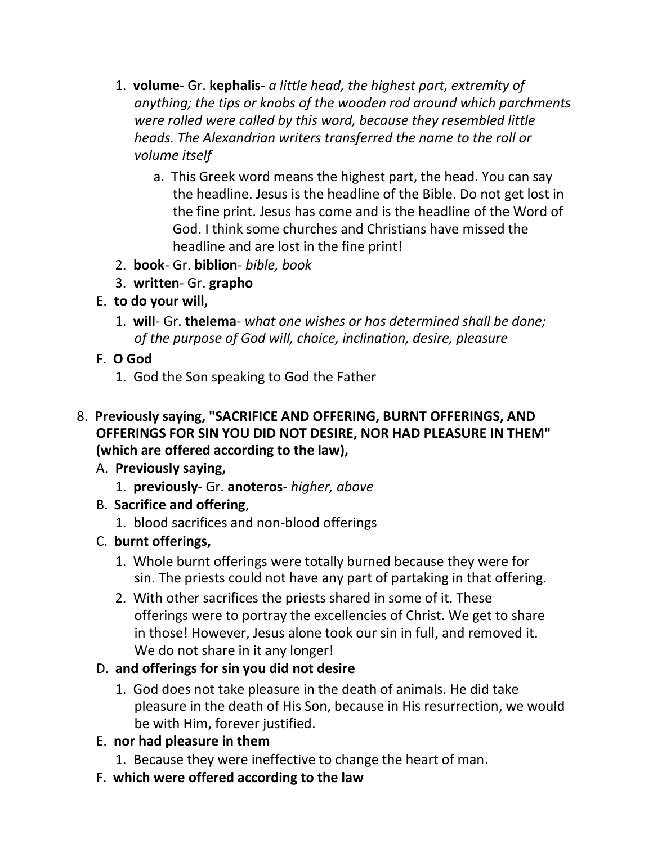- 1. **volume** Gr. **kephalis-** *a little head, the highest part, extremity of anything; the tips or knobs of the wooden rod around which parchments were rolled were called by this word, because they resembled little heads. The Alexandrian writers transferred the name to the roll or volume itself*
	- a. This Greek word means the highest part, the head. You can say the headline. Jesus is the headline of the Bible. Do not get lost in the fine print. Jesus has come and is the headline of the Word of God. I think some churches and Christians have missed the headline and are lost in the fine print!
- 2. **book** Gr. **biblion** *bible, book*
- 3. **written** Gr. **grapho**
- E. **to do your will,**
	- 1. **will** Gr. **thelema** *what one wishes or has determined shall be done; of the purpose of God will, choice, inclination, desire, pleasure*
- F. **O God**
	- 1. God the Son speaking to God the Father
- 8. **Previously saying, "SACRIFICE AND OFFERING, BURNT OFFERINGS, AND OFFERINGS FOR SIN YOU DID NOT DESIRE, NOR HAD PLEASURE IN THEM" (which are offered according to the law),**
	- A. **Previously saying,**
		- 1. **previously-** Gr. **anoteros** *higher, above*
	- B. **Sacrifice and offering**,
		- 1. blood sacrifices and non-blood offerings
	- C. **burnt offerings,**
		- 1. Whole burnt offerings were totally burned because they were for sin. The priests could not have any part of partaking in that offering.
		- 2. With other sacrifices the priests shared in some of it. These offerings were to portray the excellencies of Christ. We get to share in those! However, Jesus alone took our sin in full, and removed it. We do not share in it any longer!

# D. **and offerings for sin you did not desire**

1. God does not take pleasure in the death of animals. He did take pleasure in the death of His Son, because in His resurrection, we would be with Him, forever justified.

# E. **nor had pleasure in them**

- 1. Because they were ineffective to change the heart of man.
- F. **which were offered according to the law**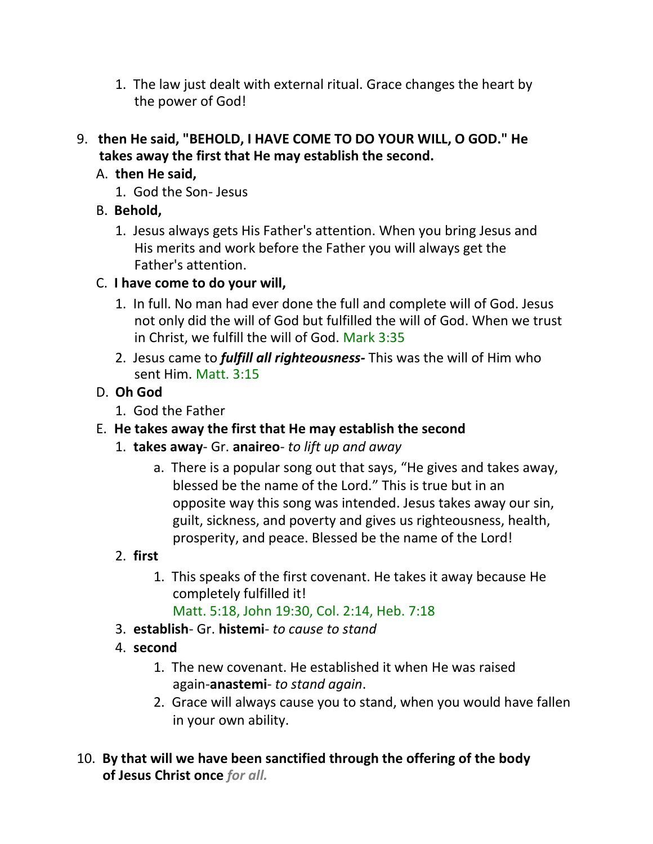- 1. The law just dealt with external ritual. Grace changes the heart by the power of God!
- 9. **then He said, "BEHOLD, I HAVE COME TO DO YOUR WILL, O GOD." He takes away the first that He may establish the second.**

# A. **then He said,**

- 1. God the Son- Jesus
- B. **Behold,**
	- 1. Jesus always gets His Father's attention. When you bring Jesus and His merits and work before the Father you will always get the Father's attention.

## C. **I have come to do your will,**

- 1. In full. No man had ever done the full and complete will of God. Jesus not only did the will of God but fulfilled the will of God. When we trust in Christ, we fulfill the will of God. Mark 3:35
- 2. Jesus came to *fulfill all righteousness-* This was the will of Him who sent Him. Matt. 3:15

## D. **Oh God**

- 1. God the Father
- E. **He takes away the first that He may establish the second**
	- 1. **takes away** Gr. **anaireo** *to lift up and away*
		- a. There is a popular song out that says, "He gives and takes away, blessed be the name of the Lord." This is true but in an opposite way this song was intended. Jesus takes away our sin, guilt, sickness, and poverty and gives us righteousness, health, prosperity, and peace. Blessed be the name of the Lord!

# 2. **first**

- 1. This speaks of the first covenant. He takes it away because He completely fulfilled it!
	- Matt. 5:18, John 19:30, Col. 2:14, Heb. 7:18
- 3. **establish** Gr. **histemi** *to cause to stand*
- 4. **second**
	- 1. The new covenant. He established it when He was raised again-**anastemi**- *to stand again*.
	- 2. Grace will always cause you to stand, when you would have fallen in your own ability.
- 10. **By that will we have been sanctified through the offering of the body of Jesus Christ once** *for all.*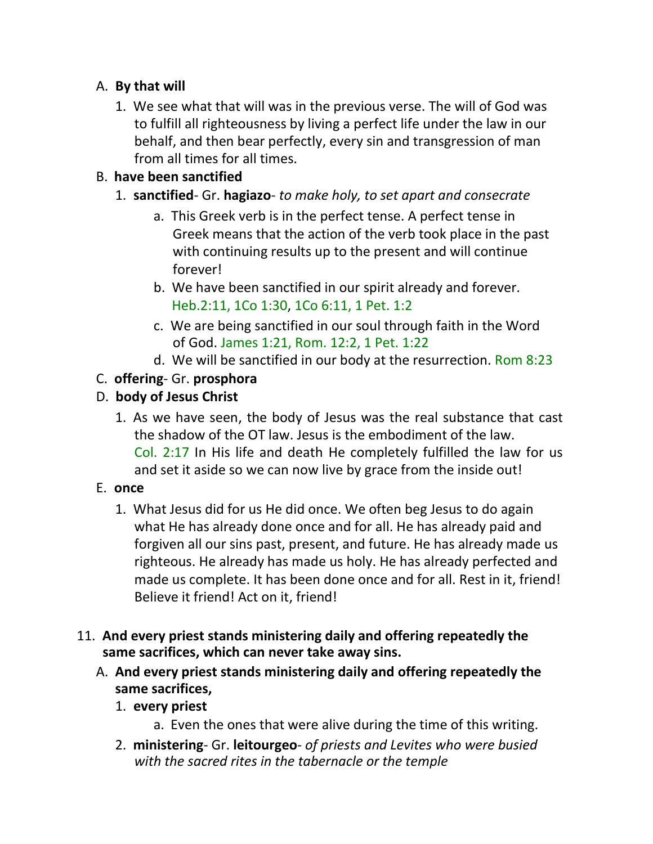## A. **By that will**

1. We see what that will was in the previous verse. The will of God was to fulfill all righteousness by living a perfect life under the law in our behalf, and then bear perfectly, every sin and transgression of man from all times for all times.

# B. **have been sanctified**

- 1. **sanctified** Gr. **hagiazo** *to make holy, to set apart and consecrate*
	- a. This Greek verb is in the perfect tense. A perfect tense in Greek means that the action of the verb took place in the past with continuing results up to the present and will continue forever!
	- b. We have been sanctified in our spirit already and forever. Heb.2:11, 1Co 1:30, 1Co 6:11, 1 Pet. 1:2
	- c. We are being sanctified in our soul through faith in the Word of God. James 1:21, Rom. 12:2, 1 Pet. 1:22
	- d. We will be sanctified in our body at the resurrection. Rom 8:23

## C. **offering**- Gr. **prosphora**

## D. **body of Jesus Christ**

1. As we have seen, the body of Jesus was the real substance that cast the shadow of the OT law. Jesus is the embodiment of the law. Col. 2:17 In His life and death He completely fulfilled the law for us and set it aside so we can now live by grace from the inside out!

## E. **once**

- 1. What Jesus did for us He did once. We often beg Jesus to do again what He has already done once and for all. He has already paid and forgiven all our sins past, present, and future. He has already made us righteous. He already has made us holy. He has already perfected and made us complete. It has been done once and for all. Rest in it, friend! Believe it friend! Act on it, friend!
- 11. **And every priest stands ministering daily and offering repeatedly the same sacrifices, which can never take away sins.**
	- A. **And every priest stands ministering daily and offering repeatedly the same sacrifices,**
		- 1. **every priest**
			- a. Even the ones that were alive during the time of this writing.
		- 2. **ministering** Gr. **leitourgeo** *of priests and Levites who were busied with the sacred rites in the tabernacle or the temple*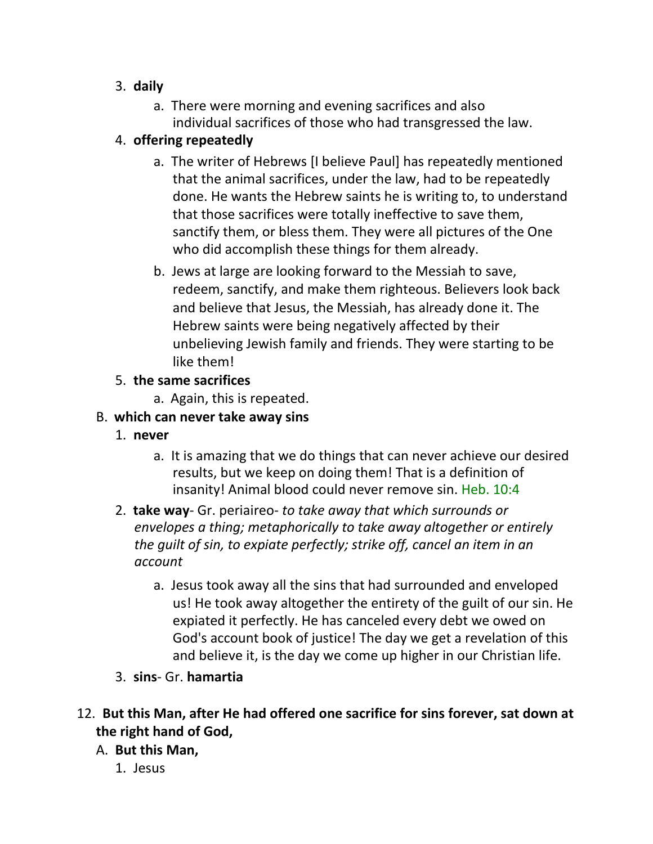## 3. **daily**

a. There were morning and evening sacrifices and also individual sacrifices of those who had transgressed the law.

# 4. **offering repeatedly**

- a. The writer of Hebrews [I believe Paul] has repeatedly mentioned that the animal sacrifices, under the law, had to be repeatedly done. He wants the Hebrew saints he is writing to, to understand that those sacrifices were totally ineffective to save them, sanctify them, or bless them. They were all pictures of the One who did accomplish these things for them already.
- b. Jews at large are looking forward to the Messiah to save, redeem, sanctify, and make them righteous. Believers look back and believe that Jesus, the Messiah, has already done it. The Hebrew saints were being negatively affected by their unbelieving Jewish family and friends. They were starting to be like them!

### 5. **the same sacrifices**

a. Again, this is repeated.

# B. **which can never take away sins**

- 1. **never**
	- a. It is amazing that we do things that can never achieve our desired results, but we keep on doing them! That is a definition of insanity! Animal blood could never remove sin. Heb. 10:4
- 2. **take way** Gr. periaireo- *to take away that which surrounds or envelopes a thing; metaphorically to take away altogether or entirely the guilt of sin, to expiate perfectly; strike off, cancel an item in an account*
	- a. Jesus took away all the sins that had surrounded and enveloped us! He took away altogether the entirety of the guilt of our sin. He expiated it perfectly. He has canceled every debt we owed on God's account book of justice! The day we get a revelation of this and believe it, is the day we come up higher in our Christian life.
- 3. **sins** Gr. **hamartia**
- 12. **But this Man, after He had offered one sacrifice for sins forever, sat down at the right hand of God,**

## A. **But this Man,**

1. Jesus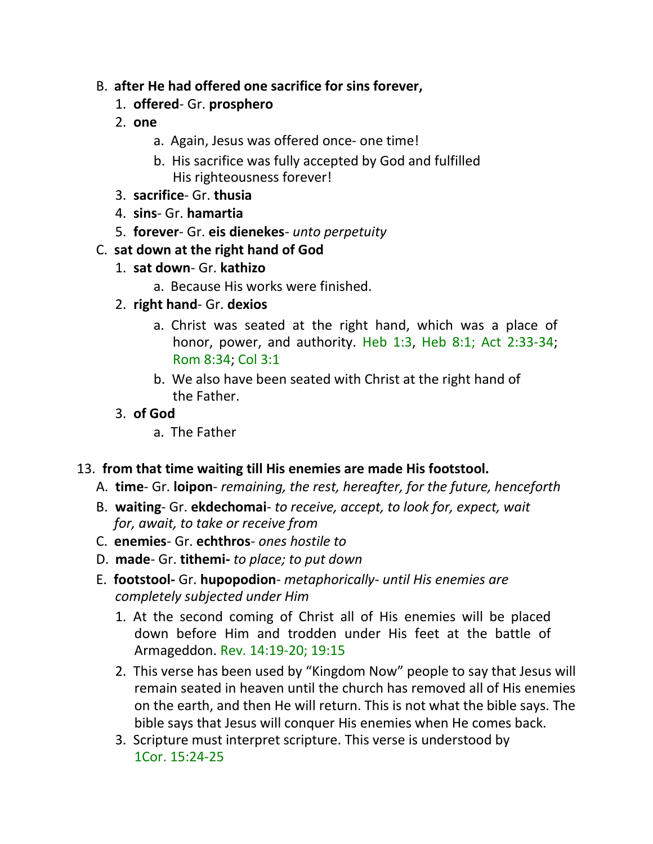- B. **after He had offered one sacrifice for sins forever,**
	- 1. **offered** Gr. **prosphero**
	- 2. **one**
		- a. Again, Jesus was offered once- one time!
		- b. His sacrifice was fully accepted by God and fulfilled His righteousness forever!
	- 3. **sacrifice** Gr. **thusia**
	- 4. **sins** Gr. **hamartia**
	- 5. **forever** Gr. **eis dienekes** *unto perpetuity*

### C. **sat down at the right hand of God**

- 1. **sat down** Gr. **kathizo**
	- a. Because His works were finished.
- 2. **right hand** Gr. **dexios**
	- a. Christ was seated at the right hand, which was a place of honor, power, and authority. Heb 1:3, Heb 8:1; Act 2:33-34; Rom 8:34; Col 3:1
	- b. We also have been seated with Christ at the right hand of the Father.
- 3. **of God**
	- a. The Father

#### 13. **from that time waiting till His enemies are made His footstool.**

- A. **time** Gr. **loipon** *remaining, the rest, hereafter, for the future, henceforth*
- B. **waiting** Gr. **ekdechomai** *to receive, accept, to look for, expect, wait for, await, to take or receive from*
- C. **enemies** Gr. **echthros** *ones hostile to*
- D. **made** Gr. **tithemi-** *to place; to put down*
- E. **footstool-** Gr. **hupopodion** *metaphorically- until His enemies are completely subjected under Him*
	- 1. At the second coming of Christ all of His enemies will be placed down before Him and trodden under His feet at the battle of Armageddon. Rev. 14:19-20; 19:15
	- 2. This verse has been used by "Kingdom Now" people to say that Jesus will remain seated in heaven until the church has removed all of His enemies on the earth, and then He will return. This is not what the bible says. The bible says that Jesus will conquer His enemies when He comes back.
	- 3. Scripture must interpret scripture. This verse is understood by 1Cor. 15:24-25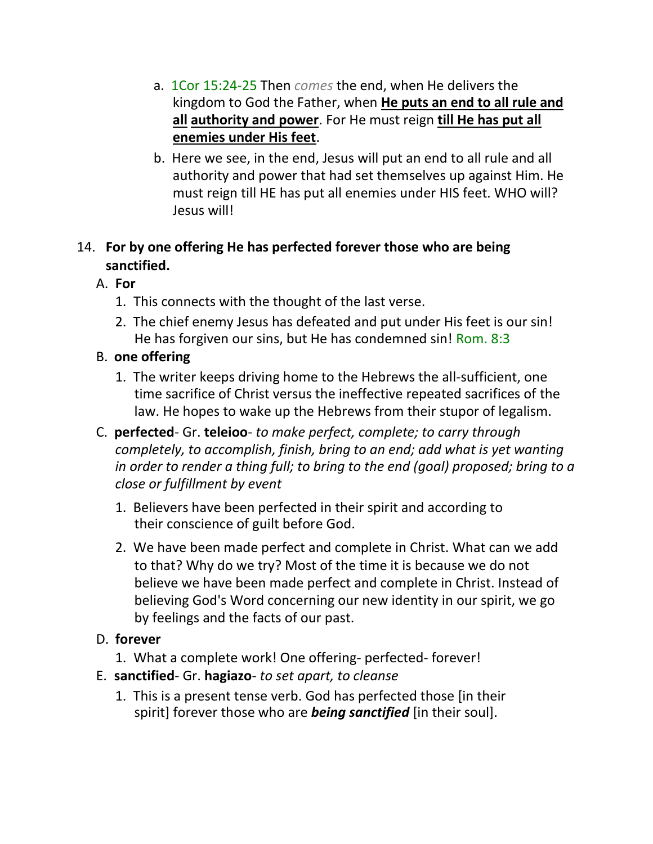- a. 1Cor 15:24-25 Then *comes* the end, when He delivers the kingdom to God the Father, when **He puts an end to all rule and all authority and power**. For He must reign **till He has put all enemies under His feet**.
- b. Here we see, in the end, Jesus will put an end to all rule and all authority and power that had set themselves up against Him. He must reign till HE has put all enemies under HIS feet. WHO will? Jesus will!

# 14. **For by one offering He has perfected forever those who are being sanctified.**

- A. **For**
	- 1. This connects with the thought of the last verse.
	- 2. The chief enemy Jesus has defeated and put under His feet is our sin! He has forgiven our sins, but He has condemned sin! Rom. 8:3
- B. **one offering**
	- 1. The writer keeps driving home to the Hebrews the all-sufficient, one time sacrifice of Christ versus the ineffective repeated sacrifices of the law. He hopes to wake up the Hebrews from their stupor of legalism.
- C. **perfected** Gr. **teleioo** *to make perfect, complete; to carry through completely, to accomplish, finish, bring to an end; add what is yet wanting*  in order to render a thing full; to bring to the end (goal) proposed; bring to a *close or fulfillment by event*
	- 1. Believers have been perfected in their spirit and according to their conscience of guilt before God.
	- 2. We have been made perfect and complete in Christ. What can we add to that? Why do we try? Most of the time it is because we do not believe we have been made perfect and complete in Christ. Instead of believing God's Word concerning our new identity in our spirit, we go by feelings and the facts of our past.
- D. **forever**
	- 1. What a complete work! One offering- perfected- forever!
- E. **sanctified** Gr. **hagiazo** *to set apart, to cleanse*
	- 1. This is a present tense verb. God has perfected those [in their spirit] forever those who are *being sanctified* [in their soul].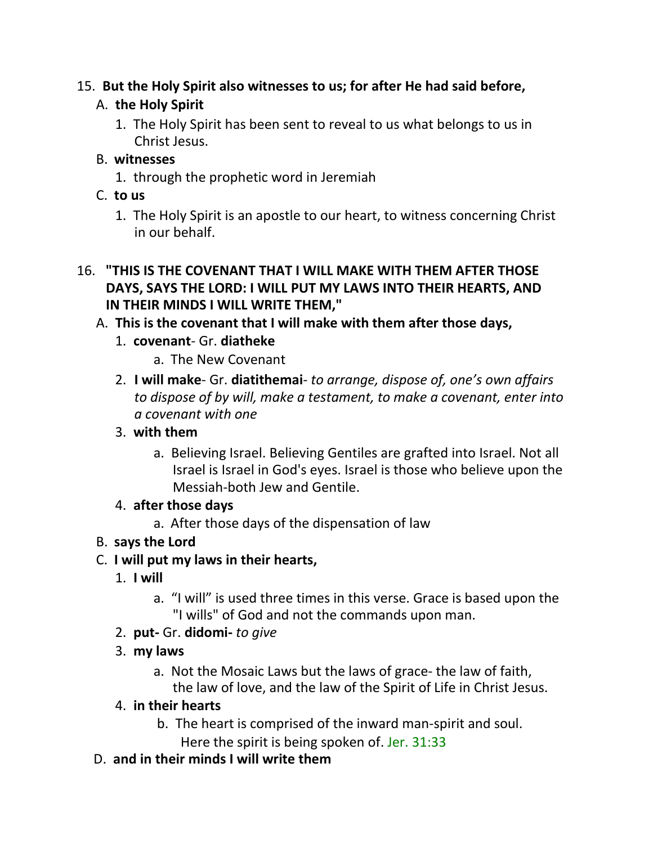## 15. **But the Holy Spirit also witnesses to us; for after He had said before,**

# A. **the Holy Spirit**

1. The Holy Spirit has been sent to reveal to us what belongs to us in Christ Jesus.

## B. **witnesses**

1. through the prophetic word in Jeremiah

## C. **to us**

1. The Holy Spirit is an apostle to our heart, to witness concerning Christ in our behalf.

### 16. **"THIS IS THE COVENANT THAT I WILL MAKE WITH THEM AFTER THOSE DAYS, SAYS THE LORD: I WILL PUT MY LAWS INTO THEIR HEARTS, AND IN THEIR MINDS I WILL WRITE THEM,"**

# A. **This is the covenant that I will make with them after those days,**

- 1. **covenant** Gr. **diatheke**
	- a. The New Covenant
- 2. **I will make** Gr. **diatithemai** *to arrange, dispose of, one's own affairs to dispose of by will, make a testament, to make a covenant, enter into a covenant with one*

## 3. **with them**

a. Believing Israel. Believing Gentiles are grafted into Israel. Not all Israel is Israel in God's eyes. Israel is those who believe upon the Messiah-both Jew and Gentile.

## 4. **after those days**

a. After those days of the dispensation of law

# B. **says the Lord**

## C. **I will put my laws in their hearts,**

- 1. **I will**
	- a. "I will" is used three times in this verse. Grace is based upon the "I wills" of God and not the commands upon man.
- 2. **put-** Gr. **didomi-** *to give*
- 3. **my laws**
	- a. Not the Mosaic Laws but the laws of grace- the law of faith, the law of love, and the law of the Spirit of Life in Christ Jesus.

# 4. **in their hearts**

- b. The heart is comprised of the inward man-spirit and soul.
	- Here the spirit is being spoken of. Jer. 31:33
- D. **and in their minds I will write them**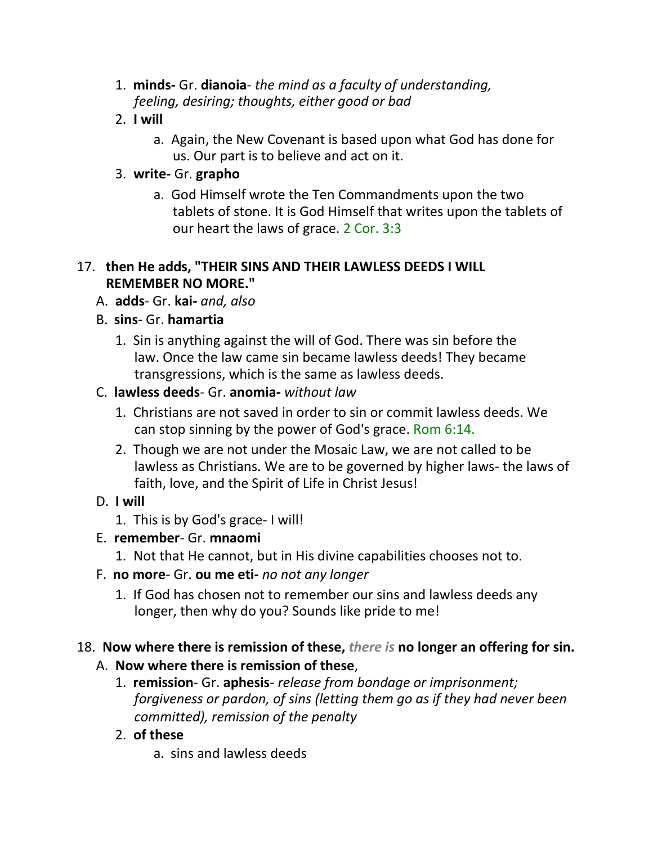- 1. **minds-** Gr. **dianoia** *the mind as a faculty of understanding, feeling, desiring; thoughts, either good or bad*
- 2. **I will**
	- a. Again, the New Covenant is based upon what God has done for us. Our part is to believe and act on it.

## 3. **write-** Gr. **grapho**

a. God Himself wrote the Ten Commandments upon the two tablets of stone. It is God Himself that writes upon the tablets of our heart the laws of grace. 2 Cor. 3:3

### 17. **then He adds, "THEIR SINS AND THEIR LAWLESS DEEDS I WILL REMEMBER NO MORE."**

- A. **adds** Gr. **kai-** *and, also*
- B. **sins** Gr. **hamartia**
	- 1. Sin is anything against the will of God. There was sin before the law. Once the law came sin became lawless deeds! They became transgressions, which is the same as lawless deeds.
- C. **lawless deeds** Gr. **anomia-** *without law*
	- 1. Christians are not saved in order to sin or commit lawless deeds. We can stop sinning by the power of God's grace. Rom 6:14.
	- 2. Though we are not under the Mosaic Law, we are not called to be lawless as Christians. We are to be governed by higher laws- the laws of faith, love, and the Spirit of Life in Christ Jesus!
- D. **I will**
	- 1. This is by God's grace- I will!
- E. **remember** Gr. **mnaomi**
	- 1. Not that He cannot, but in His divine capabilities chooses not to.
- F. **no more** Gr. **ou me eti-** *no not any longer*
	- 1. If God has chosen not to remember our sins and lawless deeds any longer, then why do you? Sounds like pride to me!

## 18. **Now where there is remission of these,** *there is* **no longer an offering for sin.**

## A. **Now where there is remission of these**,

- 1. **remission** Gr. **aphesis** *release from bondage or imprisonment; forgiveness or pardon, of sins (letting them go as if they had never been committed), remission of the penalty*
- 2. **of these**

a. sins and lawless deeds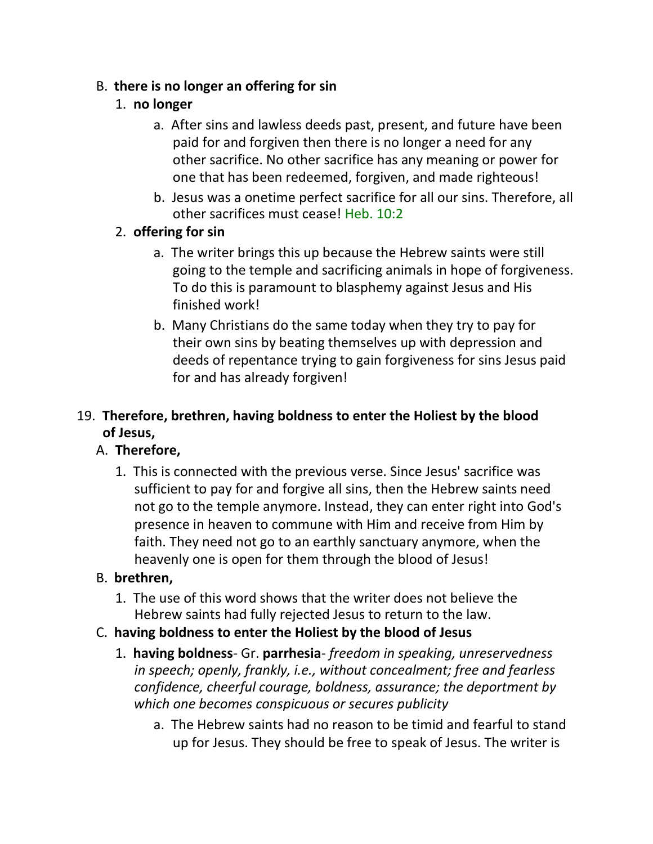## B. **there is no longer an offering for sin**

# 1. **no longer**

- a. After sins and lawless deeds past, present, and future have been paid for and forgiven then there is no longer a need for any other sacrifice. No other sacrifice has any meaning or power for one that has been redeemed, forgiven, and made righteous!
- b. Jesus was a onetime perfect sacrifice for all our sins. Therefore, all other sacrifices must cease! Heb. 10:2

## 2. **offering for sin**

- a. The writer brings this up because the Hebrew saints were still going to the temple and sacrificing animals in hope of forgiveness. To do this is paramount to blasphemy against Jesus and His finished work!
- b. Many Christians do the same today when they try to pay for their own sins by beating themselves up with depression and deeds of repentance trying to gain forgiveness for sins Jesus paid for and has already forgiven!

# 19. **Therefore, brethren, having boldness to enter the Holiest by the blood of Jesus,**

# A. **Therefore,**

1. This is connected with the previous verse. Since Jesus' sacrifice was sufficient to pay for and forgive all sins, then the Hebrew saints need not go to the temple anymore. Instead, they can enter right into God's presence in heaven to commune with Him and receive from Him by faith. They need not go to an earthly sanctuary anymore, when the heavenly one is open for them through the blood of Jesus!

# B. **brethren,**

- 1. The use of this word shows that the writer does not believe the Hebrew saints had fully rejected Jesus to return to the law.
- C. **having boldness to enter the Holiest by the blood of Jesus**
	- 1. **having boldness** Gr. **parrhesia** *freedom in speaking, unreservedness in speech; openly, frankly, i.e., without concealment; free and fearless confidence, cheerful courage, boldness, assurance; the deportment by which one becomes conspicuous or secures publicity*
		- a. The Hebrew saints had no reason to be timid and fearful to stand up for Jesus. They should be free to speak of Jesus. The writer is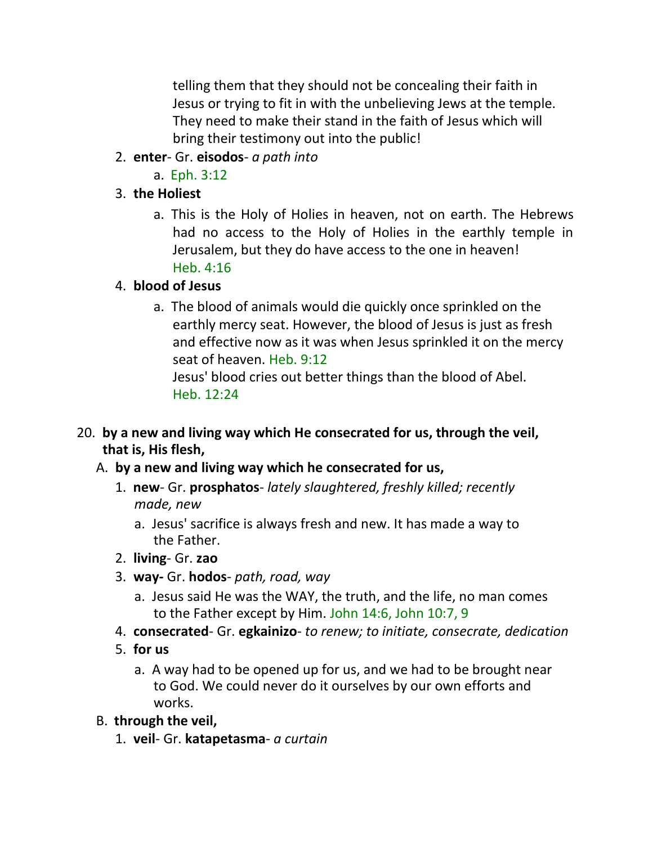telling them that they should not be concealing their faith in Jesus or trying to fit in with the unbelieving Jews at the temple. They need to make their stand in the faith of Jesus which will bring their testimony out into the public!

- 2. **enter** Gr. **eisodos** *a path into*
	- a. Eph. 3:12

# 3. **the Holiest**

a. This is the Holy of Holies in heaven, not on earth. The Hebrews had no access to the Holy of Holies in the earthly temple in Jerusalem, but they do have access to the one in heaven! Heb. 4:16

# 4. **blood of Jesus**

a. The blood of animals would die quickly once sprinkled on the earthly mercy seat. However, the blood of Jesus is just as fresh and effective now as it was when Jesus sprinkled it on the mercy seat of heaven. Heb. 9:12

Jesus' blood cries out better things than the blood of Abel. Heb. 12:24

- 20. **by a new and living way which He consecrated for us, through the veil, that is, His flesh,**
	- A. **by a new and living way which he consecrated for us,**
		- 1. **new** Gr. **prosphatos** *lately slaughtered, freshly killed; recently made, new*
			- a. Jesus' sacrifice is always fresh and new. It has made a way to the Father.
		- 2. **living** Gr. **zao**
		- 3. **way-** Gr. **hodos** *path, road, way*
			- a. Jesus said He was the WAY, the truth, and the life, no man comes to the Father except by Him. John 14:6, John 10:7, 9
		- 4. **consecrated** Gr. **egkainizo** *to renew; to initiate, consecrate, dedication*
		- 5. **for us**
			- a. A way had to be opened up for us, and we had to be brought near to God. We could never do it ourselves by our own efforts and works.
	- B. **through the veil,**
		- 1. **veil** Gr. **katapetasma** *a curtain*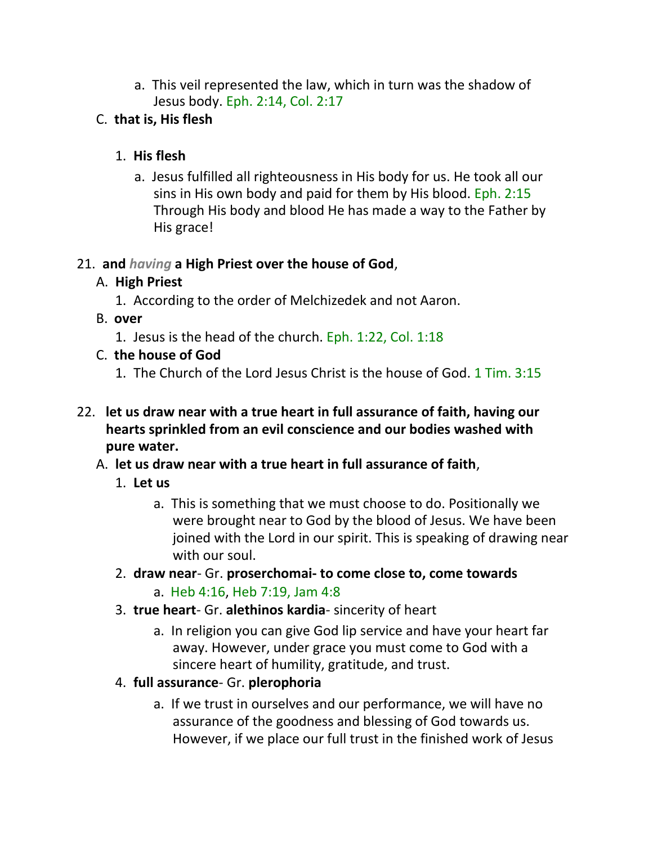a. This veil represented the law, which in turn was the shadow of Jesus body. Eph. 2:14, Col. 2:17

# C. **that is, His flesh**

## 1. **His flesh**

a. Jesus fulfilled all righteousness in His body for us. He took all our sins in His own body and paid for them by His blood. Eph. 2:15 Through His body and blood He has made a way to the Father by His grace!

## 21. **and** *having* **a High Priest over the house of God**,

# A. **High Priest**

- 1. According to the order of Melchizedek and not Aaron.
- B. **over**
	- 1. Jesus is the head of the church. Eph. 1:22, Col. 1:18
- C. **the house of God**
	- 1. The Church of the Lord Jesus Christ is the house of God. 1 Tim. 3:15
- 22. **let us draw near with a true heart in full assurance of faith, having our hearts sprinkled from an evil conscience and our bodies washed with pure water.**
	- A. **let us draw near with a true heart in full assurance of faith**,
		- 1. **Let us**
			- a. This is something that we must choose to do. Positionally we were brought near to God by the blood of Jesus. We have been joined with the Lord in our spirit. This is speaking of drawing near with our soul.
		- 2. **draw near** Gr. **proserchomai- to come close to, come towards**
			- a. Heb 4:16, Heb 7:19, Jam 4:8
		- 3. **true heart** Gr. **alethinos kardia** sincerity of heart
			- a. In religion you can give God lip service and have your heart far away. However, under grace you must come to God with a sincere heart of humility, gratitude, and trust.
		- 4. **full assurance** Gr. **plerophoria**
			- a. If we trust in ourselves and our performance, we will have no assurance of the goodness and blessing of God towards us. However, if we place our full trust in the finished work of Jesus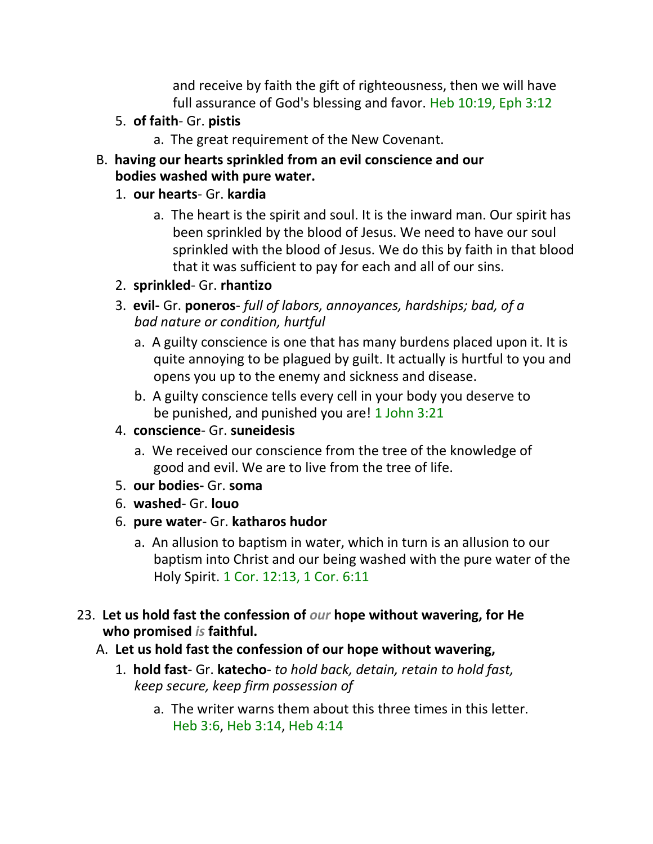and receive by faith the gift of righteousness, then we will have full assurance of God's blessing and favor. Heb 10:19, Eph 3:12

- 5. **of faith** Gr. **pistis**
	- a. The great requirement of the New Covenant.
- B. **having our hearts sprinkled from an evil conscience and our bodies washed with pure water.**

### 1. **our hearts**- Gr. **kardia**

- a. The heart is the spirit and soul. It is the inward man. Our spirit has been sprinkled by the blood of Jesus. We need to have our soul sprinkled with the blood of Jesus. We do this by faith in that blood that it was sufficient to pay for each and all of our sins.
- 2. **sprinkled** Gr. **rhantizo**
- 3. **evil-** Gr. **poneros** *full of labors, annoyances, hardships; bad, of a bad nature or condition, hurtful*
	- a. A guilty conscience is one that has many burdens placed upon it. It is quite annoying to be plagued by guilt. It actually is hurtful to you and opens you up to the enemy and sickness and disease.
	- b. A guilty conscience tells every cell in your body you deserve to be punished, and punished you are! 1 John 3:21

#### 4. **conscience**- Gr. **suneidesis**

- a. We received our conscience from the tree of the knowledge of good and evil. We are to live from the tree of life.
- 5. **our bodies-** Gr. **soma**
- 6. **washed** Gr. **louo**
- 6. **pure water** Gr. **katharos hudor**
	- a. An allusion to baptism in water, which in turn is an allusion to our baptism into Christ and our being washed with the pure water of the Holy Spirit. 1 Cor. 12:13, 1 Cor. 6:11
- 23. **Let us hold fast the confession of** *our* **hope without wavering, for He who promised** *is* **faithful.**
	- A. **Let us hold fast the confession of our hope without wavering,**
		- 1. **hold fast** Gr. **katecho** *to hold back, detain, retain to hold fast, keep secure, keep firm possession of*
			- a. The writer warns them about this three times in this letter. Heb 3:6, Heb 3:14, Heb 4:14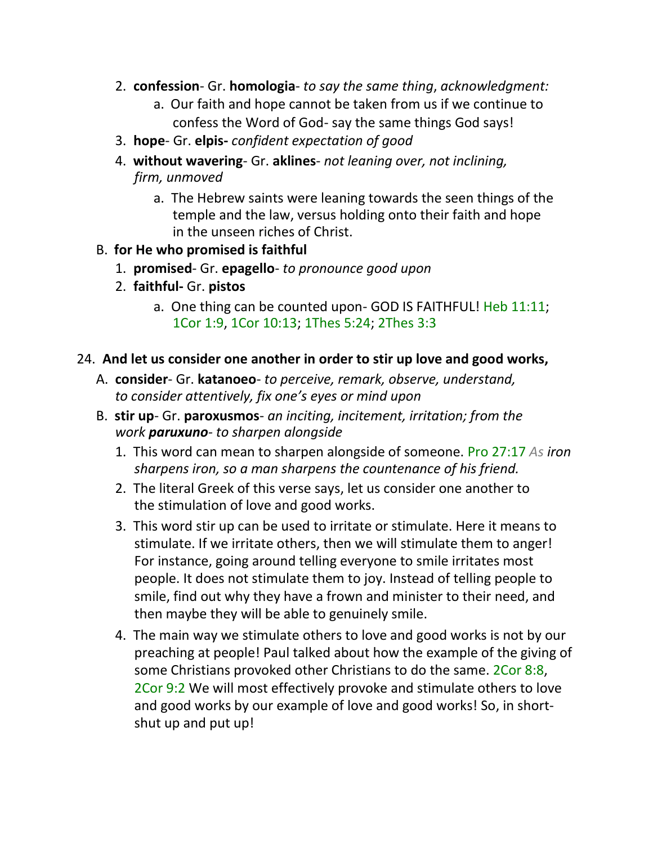- 2. **confession** Gr. **homologia** *to say the same thing*, *acknowledgment:*
	- a. Our faith and hope cannot be taken from us if we continue to confess the Word of God- say the same things God says!
- 3. **hope** Gr. **elpis-** *confident expectation of good*
- 4. **without wavering** Gr. **aklines** *not leaning over, not inclining, firm, unmoved*
	- a. The Hebrew saints were leaning towards the seen things of the temple and the law, versus holding onto their faith and hope in the unseen riches of Christ.
- B. **for He who promised is faithful**
	- 1. **promised** Gr. **epagello** *to pronounce good upon*
	- 2. **faithful-** Gr. **pistos**
		- a. One thing can be counted upon- GOD IS FAITHFUL! Heb 11:11; 1Cor 1:9, 1Cor 10:13; 1Thes 5:24; 2Thes 3:3

#### 24. **And let us consider one another in order to stir up love and good works,**

- A. **consider** Gr. **katanoeo** *to perceive, remark, observe, understand, to consider attentively, fix one's eyes or mind upon*
- B. **stir up** Gr. **paroxusmos** *an inciting, incitement, irritation; from the work paruxuno- to sharpen alongside*
	- 1. This word can mean to sharpen alongside of someone. Pro 27:17 *As iron sharpens iron, so a man sharpens the countenance of his friend.*
	- 2. The literal Greek of this verse says, let us consider one another to the stimulation of love and good works.
	- 3. This word stir up can be used to irritate or stimulate. Here it means to stimulate. If we irritate others, then we will stimulate them to anger! For instance, going around telling everyone to smile irritates most people. It does not stimulate them to joy. Instead of telling people to smile, find out why they have a frown and minister to their need, and then maybe they will be able to genuinely smile.
	- 4. The main way we stimulate others to love and good works is not by our preaching at people! Paul talked about how the example of the giving of some Christians provoked other Christians to do the same. 2Cor 8:8, 2Cor 9:2 We will most effectively provoke and stimulate others to love and good works by our example of love and good works! So, in shortshut up and put up!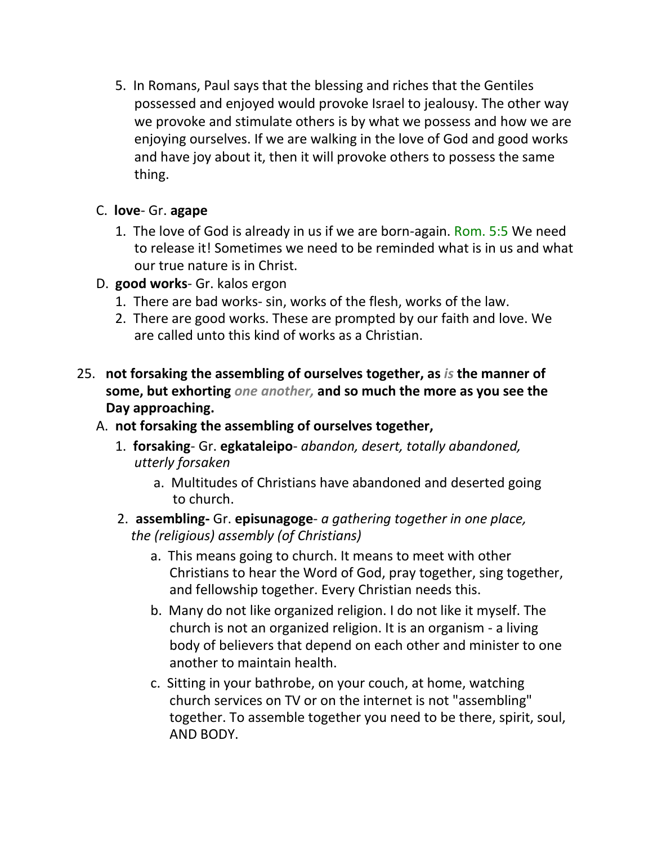5. In Romans, Paul says that the blessing and riches that the Gentiles possessed and enjoyed would provoke Israel to jealousy. The other way we provoke and stimulate others is by what we possess and how we are enjoying ourselves. If we are walking in the love of God and good works and have joy about it, then it will provoke others to possess the same thing.

### C. **love**- Gr. **agape**

- 1. The love of God is already in us if we are born-again. Rom. 5:5 We need to release it! Sometimes we need to be reminded what is in us and what our true nature is in Christ.
- D. **good works** Gr. kalos ergon
	- 1. There are bad works- sin, works of the flesh, works of the law.
	- 2. There are good works. These are prompted by our faith and love. We are called unto this kind of works as a Christian.
- 25. **not forsaking the assembling of ourselves together, as** *is* **the manner of some, but exhorting** *one another,* **and so much the more as you see the Day approaching.**
	- A. **not forsaking the assembling of ourselves together,**
		- 1. **forsaking** Gr. **egkataleipo** *abandon, desert, totally abandoned, utterly forsaken*
			- a. Multitudes of Christians have abandoned and deserted going to church.
		- 2. **assembling-** Gr. **episunagoge** *a gathering together in one place, the (religious) assembly (of Christians)*
			- a. This means going to church. It means to meet with other Christians to hear the Word of God, pray together, sing together, and fellowship together. Every Christian needs this.
			- b. Many do not like organized religion. I do not like it myself. The church is not an organized religion. It is an organism - a living body of believers that depend on each other and minister to one another to maintain health.
			- c. Sitting in your bathrobe, on your couch, at home, watching church services on TV or on the internet is not "assembling" together. To assemble together you need to be there, spirit, soul, AND BODY.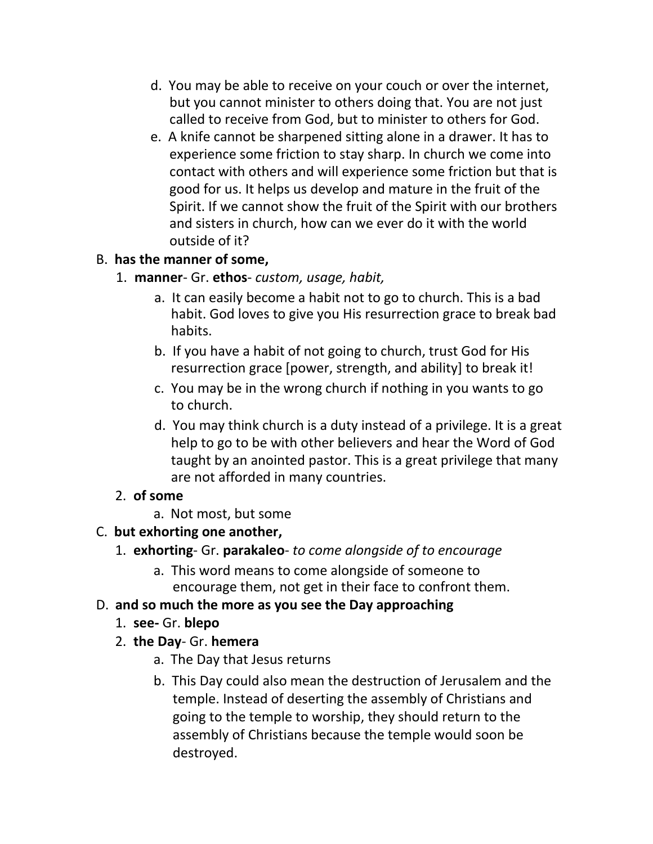- d. You may be able to receive on your couch or over the internet, but you cannot minister to others doing that. You are not just called to receive from God, but to minister to others for God.
- e. A knife cannot be sharpened sitting alone in a drawer. It has to experience some friction to stay sharp. In church we come into contact with others and will experience some friction but that is good for us. It helps us develop and mature in the fruit of the Spirit. If we cannot show the fruit of the Spirit with our brothers and sisters in church, how can we ever do it with the world outside of it?

## B. **has the manner of some,**

- 1. **manner** Gr. **ethos** *custom, usage, habit,*
	- a. It can easily become a habit not to go to church. This is a bad habit. God loves to give you His resurrection grace to break bad habits.
	- b. If you have a habit of not going to church, trust God for His resurrection grace [power, strength, and ability] to break it!
	- c. You may be in the wrong church if nothing in you wants to go to church.
	- d. You may think church is a duty instead of a privilege. It is a great help to go to be with other believers and hear the Word of God taught by an anointed pastor. This is a great privilege that many are not afforded in many countries.

## 2. **of some**

a. Not most, but some

## C. **but exhorting one another,**

- 1. **exhorting** Gr. **parakaleo** *to come alongside of to encourage*
	- a. This word means to come alongside of someone to encourage them, not get in their face to confront them.

## D. **and so much the more as you see the Day approaching**

- 1. **see-** Gr. **blepo**
- 2. **the Day** Gr. **hemera**
	- a. The Day that Jesus returns
	- b. This Day could also mean the destruction of Jerusalem and the temple. Instead of deserting the assembly of Christians and going to the temple to worship, they should return to the assembly of Christians because the temple would soon be destroyed.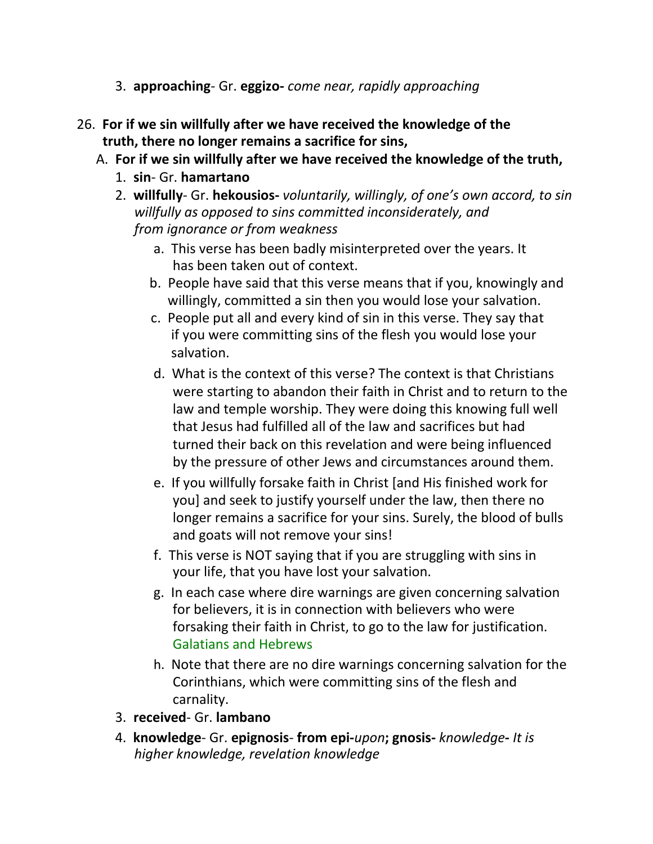- 3. **approaching** Gr. **eggizo-** *come near, rapidly approaching*
- 26. **For if we sin willfully after we have received the knowledge of the truth, there no longer remains a sacrifice for sins,**
	- A. **For if we sin willfully after we have received the knowledge of the truth,**
		- 1. **sin** Gr. **hamartano**
		- 2. **willfully** Gr. **hekousios-** *voluntarily, willingly, of one's own accord, to sin willfully as opposed to sins committed inconsiderately, and from ignorance or from weakness*
			- a. This verse has been badly misinterpreted over the years. It has been taken out of context.
			- b. People have said that this verse means that if you, knowingly and willingly, committed a sin then you would lose your salvation.
			- c. People put all and every kind of sin in this verse. They say that if you were committing sins of the flesh you would lose your salvation.
			- d. What is the context of this verse? The context is that Christians were starting to abandon their faith in Christ and to return to the law and temple worship. They were doing this knowing full well that Jesus had fulfilled all of the law and sacrifices but had turned their back on this revelation and were being influenced by the pressure of other Jews and circumstances around them.
			- e. If you willfully forsake faith in Christ [and His finished work for you] and seek to justify yourself under the law, then there no longer remains a sacrifice for your sins. Surely, the blood of bulls and goats will not remove your sins!
			- f. This verse is NOT saying that if you are struggling with sins in your life, that you have lost your salvation.
			- g. In each case where dire warnings are given concerning salvation for believers, it is in connection with believers who were forsaking their faith in Christ, to go to the law for justification. Galatians and Hebrews
			- h. Note that there are no dire warnings concerning salvation for the Corinthians, which were committing sins of the flesh and carnality.
		- 3. **received** Gr. **lambano**
		- 4. **knowledge** Gr. **epignosis from epi-***upon***; gnosis-** *knowledge***-** *It is higher knowledge, revelation knowledge*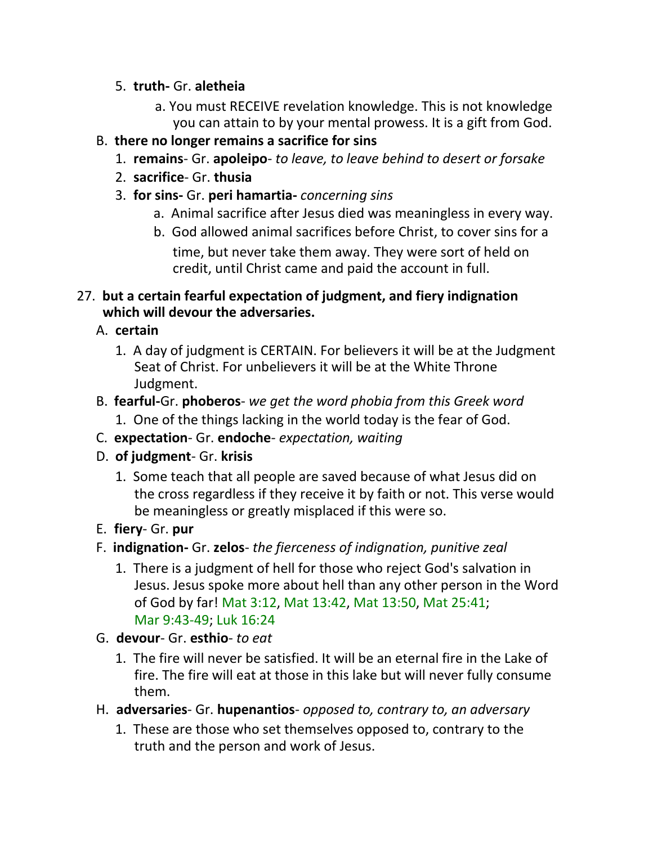### 5. **truth-** Gr. **aletheia**

a. You must RECEIVE revelation knowledge. This is not knowledge you can attain to by your mental prowess. It is a gift from God.

## B. **there no longer remains a sacrifice for sins**

- 1. **remains** Gr. **apoleipo** *to leave, to leave behind to desert or forsake*
- 2. **sacrifice** Gr. **thusia**
- 3. **for sins-** Gr. **peri hamartia-** *concerning sins*
	- a. Animal sacrifice after Jesus died was meaningless in every way.
	- b. God allowed animal sacrifices before Christ, to cover sins for a time, but never take them away. They were sort of held on credit, until Christ came and paid the account in full.

## 27. **but a certain fearful expectation of judgment, and fiery indignation which will devour the adversaries.**

- A. **certain**
	- 1. A day of judgment is CERTAIN. For believers it will be at the Judgment Seat of Christ. For unbelievers it will be at the White Throne Judgment.
- B. **fearful-**Gr. **phoberos** *we get the word phobia from this Greek word*
	- 1. One of the things lacking in the world today is the fear of God.
- C. **expectation** Gr. **endoche** *expectation, waiting*
- D. **of judgment** Gr. **krisis**
	- 1. Some teach that all people are saved because of what Jesus did on the cross regardless if they receive it by faith or not. This verse would be meaningless or greatly misplaced if this were so.
- E. **fiery** Gr. **pur**
- F. **indignation-** Gr. **zelos** *the fierceness of indignation, punitive zeal*
	- 1. There is a judgment of hell for those who reject God's salvation in Jesus. Jesus spoke more about hell than any other person in the Word of God by far! Mat 3:12, Mat 13:42, Mat 13:50, Mat 25:41; Mar 9:43-49; Luk 16:24
- G. **devour** Gr. **esthio** *to eat*
	- 1. The fire will never be satisfied. It will be an eternal fire in the Lake of fire. The fire will eat at those in this lake but will never fully consume them.
- H. **adversaries** Gr. **hupenantios** *opposed to, contrary to, an adversary*
	- 1. These are those who set themselves opposed to, contrary to the truth and the person and work of Jesus.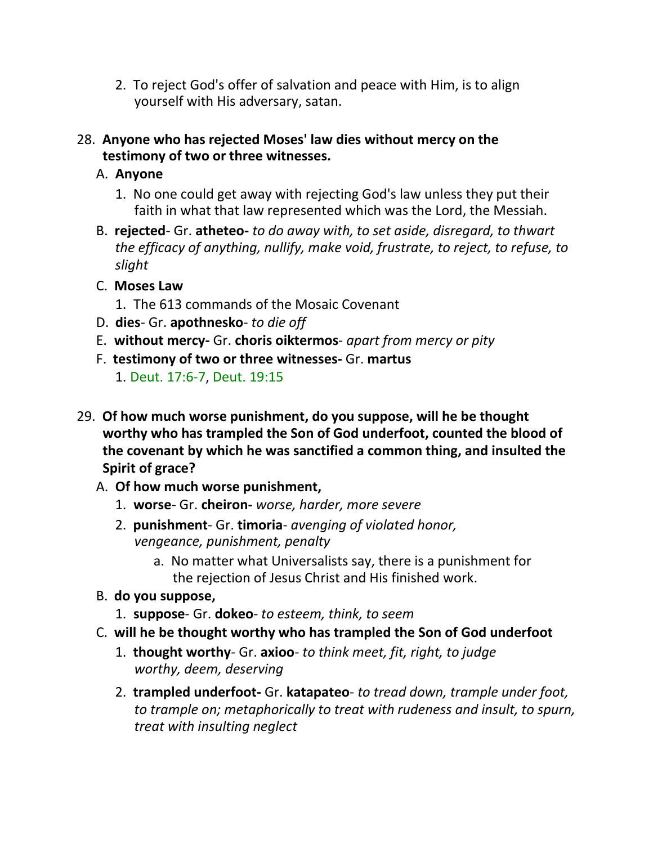- 2. To reject God's offer of salvation and peace with Him, is to align yourself with His adversary, satan.
- 28. **Anyone who has rejected Moses' law dies without mercy on the testimony of two or three witnesses.**
	- A. **Anyone**
		- 1. No one could get away with rejecting God's law unless they put their faith in what that law represented which was the Lord, the Messiah.
	- B. **rejected** Gr. **atheteo-** *to do away with, to set aside, disregard, to thwart the efficacy of anything, nullify, make void, frustrate, to reject, to refuse, to slight*
	- C. **Moses Law**
		- 1. The 613 commands of the Mosaic Covenant
	- D. **dies** Gr. **apothnesko** *to die off*
	- E. **without mercy-** Gr. **choris oiktermos** *apart from mercy or pity*
	- F. **testimony of two or three witnesses-** Gr. **martus**
		- 1. Deut. 17:6-7, Deut. 19:15
- 29. **Of how much worse punishment, do you suppose, will he be thought worthy who has trampled the Son of God underfoot, counted the blood of the covenant by which he was sanctified a common thing, and insulted the Spirit of grace?**
	- A. **Of how much worse punishment,**
		- 1. **worse** Gr. **cheiron-** *worse, harder, more severe*
		- 2. **punishment** Gr. **timoria** *avenging of violated honor, vengeance, punishment, penalty*
			- a. No matter what Universalists say, there is a punishment for the rejection of Jesus Christ and His finished work.
	- B. **do you suppose,**
		- 1. **suppose** Gr. **dokeo** *to esteem, think, to seem*
	- C. **will he be thought worthy who has trampled the Son of God underfoot**
		- 1. **thought worthy** Gr. **axioo** *to think meet, fit, right, to judge worthy, deem, deserving*
		- 2. **trampled underfoot-** Gr. **katapateo** *to tread down, trample under foot, to trample on; metaphorically to treat with rudeness and insult, to spurn, treat with insulting neglect*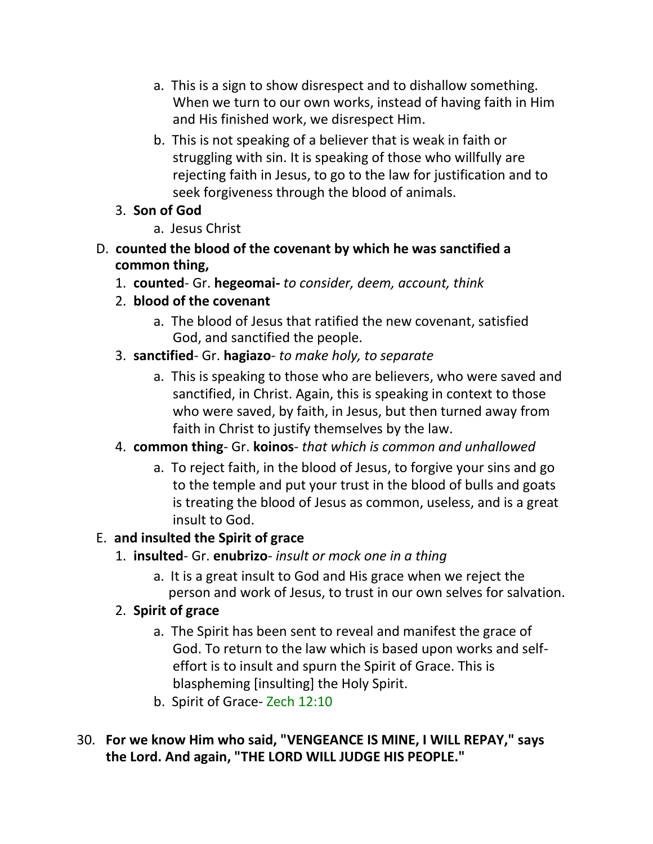- a. This is a sign to show disrespect and to dishallow something. When we turn to our own works, instead of having faith in Him and His finished work, we disrespect Him.
- b. This is not speaking of a believer that is weak in faith or struggling with sin. It is speaking of those who willfully are rejecting faith in Jesus, to go to the law for justification and to seek forgiveness through the blood of animals.

# 3. **Son of God**

- a. Jesus Christ
- D. **counted the blood of the covenant by which he was sanctified a common thing,**
	- 1. **counted** Gr. **hegeomai-** *to consider, deem, account, think*
	- 2. **blood of the covenant**
		- a. The blood of Jesus that ratified the new covenant, satisfied God, and sanctified the people.
	- 3. **sanctified** Gr. **hagiazo** *to make holy, to separate*
		- a. This is speaking to those who are believers, who were saved and sanctified, in Christ. Again, this is speaking in context to those who were saved, by faith, in Jesus, but then turned away from faith in Christ to justify themselves by the law.

# 4. **common thing**- Gr. **koinos**- *that which is common and unhallowed*

a. To reject faith, in the blood of Jesus, to forgive your sins and go to the temple and put your trust in the blood of bulls and goats is treating the blood of Jesus as common, useless, and is a great insult to God.

# E. **and insulted the Spirit of grace**

# 1. **insulted**- Gr. **enubrizo**- *insult or mock one in a thing*

a. It is a great insult to God and His grace when we reject the person and work of Jesus, to trust in our own selves for salvation.

# 2. **Spirit of grace**

- a. The Spirit has been sent to reveal and manifest the grace of God. To return to the law which is based upon works and selfeffort is to insult and spurn the Spirit of Grace. This is blaspheming [insulting] the Holy Spirit.
- b. Spirit of Grace- Zech 12:10
- 30. **For we know Him who said, "VENGEANCE IS MINE, I WILL REPAY," says the Lord. And again, "THE LORD WILL JUDGE HIS PEOPLE."**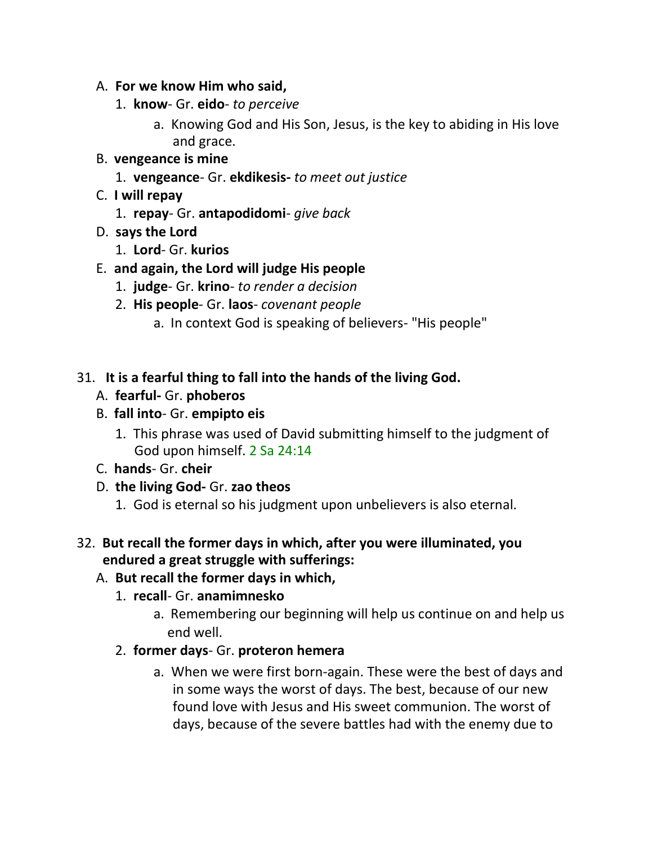#### A. **For we know Him who said,**

- 1. **know** Gr. **eido** *to perceive*
	- a. Knowing God and His Son, Jesus, is the key to abiding in His love and grace.

#### B. **vengeance is mine**

- 1. **vengeance** Gr. **ekdikesis-** *to meet out justice*
- C. **I will repay**
	- 1. **repay** Gr. **antapodidomi** *give back*
- D. **says the Lord**
	- 1. **Lord** Gr. **kurios**
- E. **and again, the Lord will judge His people**
	- 1. **judge** Gr. **krino** *to render a decision*
	- 2. **His people** Gr. **laos** *covenant people*
		- a. In context God is speaking of believers- "His people"

### 31. **It is a fearful thing to fall into the hands of the living God.**

- A. **fearful-** Gr. **phoberos**
- B. **fall into** Gr. **empipto eis**
	- 1. This phrase was used of David submitting himself to the judgment of God upon himself. 2 Sa 24:14
- C. **hands** Gr. **cheir**
- D. **the living God-** Gr. **zao theos**
	- 1. God is eternal so his judgment upon unbelievers is also eternal.

#### 32. **But recall the former days in which, after you were illuminated, you endured a great struggle with sufferings:**

#### A. **But recall the former days in which,**

#### 1. **recall**- Gr. **anamimnesko**

- a. Remembering our beginning will help us continue on and help us end well.
- 2. **former days** Gr. **proteron hemera**
	- a. When we were first born-again. These were the best of days and in some ways the worst of days. The best, because of our new found love with Jesus and His sweet communion. The worst of days, because of the severe battles had with the enemy due to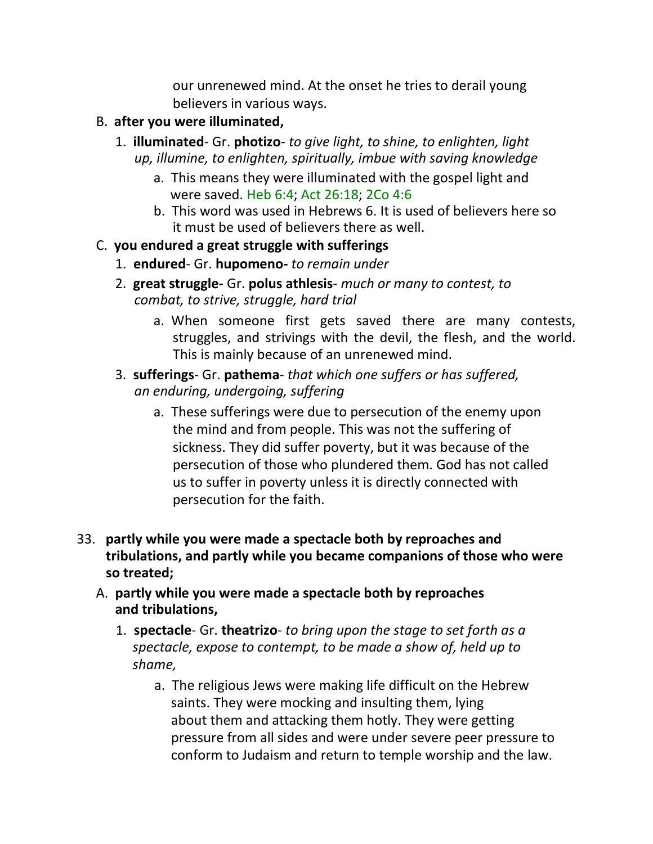our unrenewed mind. At the onset he tries to derail young believers in various ways.

- B. **after you were illuminated,**
	- 1. **illuminated** Gr. **photizo** *to give light, to shine, to enlighten, light up, illumine, to enlighten, spiritually, imbue with saving knowledge*
		- a. This means they were illuminated with the gospel light and were saved. Heb 6:4; Act 26:18; 2Co 4:6
		- b. This word was used in Hebrews 6. It is used of believers here so it must be used of believers there as well.

### C. **you endured a great struggle with sufferings**

- 1. **endured** Gr. **hupomeno-** *to remain under*
- 2. **great struggle-** Gr. **polus athlesis** *much or many to contest, to combat, to strive, struggle, hard trial*
	- a. When someone first gets saved there are many contests, struggles, and strivings with the devil, the flesh, and the world. This is mainly because of an unrenewed mind.
- 3. **sufferings** Gr. **pathema** *that which one suffers or has suffered, an enduring, undergoing, suffering*
	- a. These sufferings were due to persecution of the enemy upon the mind and from people. This was not the suffering of sickness. They did suffer poverty, but it was because of the persecution of those who plundered them. God has not called us to suffer in poverty unless it is directly connected with persecution for the faith.
- 33. **partly while you were made a spectacle both by reproaches and tribulations, and partly while you became companions of those who were so treated;**
	- A. **partly while you were made a spectacle both by reproaches and tribulations,**
		- 1. **spectacle** Gr. **theatrizo** *to bring upon the stage to set forth as a spectacle, expose to contempt, to be made a show of, held up to shame,*
			- a. The religious Jews were making life difficult on the Hebrew saints. They were mocking and insulting them, lying about them and attacking them hotly. They were getting pressure from all sides and were under severe peer pressure to conform to Judaism and return to temple worship and the law.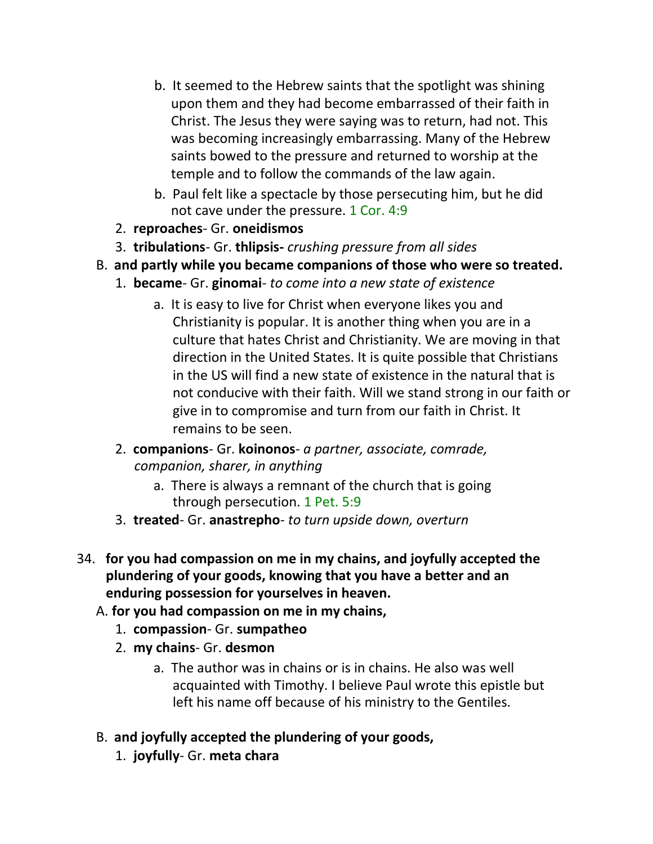- b. It seemed to the Hebrew saints that the spotlight was shining upon them and they had become embarrassed of their faith in Christ. The Jesus they were saying was to return, had not. This was becoming increasingly embarrassing. Many of the Hebrew saints bowed to the pressure and returned to worship at the temple and to follow the commands of the law again.
- b. Paul felt like a spectacle by those persecuting him, but he did not cave under the pressure. 1 Cor. 4:9
- 2. **reproaches** Gr. **oneidismos**
- 3. **tribulations** Gr. **thlipsis-** *crushing pressure from all sides*
- B. **and partly while you became companions of those who were so treated.**
	- 1. **became** Gr. **ginomai** *to come into a new state of existence*
		- a. It is easy to live for Christ when everyone likes you and Christianity is popular. It is another thing when you are in a culture that hates Christ and Christianity. We are moving in that direction in the United States. It is quite possible that Christians in the US will find a new state of existence in the natural that is not conducive with their faith. Will we stand strong in our faith or give in to compromise and turn from our faith in Christ. It remains to be seen.
	- 2. **companions** Gr. **koinonos** *a partner, associate, comrade, companion, sharer, in anything*
		- a. There is always a remnant of the church that is going through persecution. 1 Pet. 5:9
	- 3. **treated** Gr. **anastrepho** *to turn upside down, overturn*
- 34. **for you had compassion on me in my chains, and joyfully accepted the plundering of your goods, knowing that you have a better and an enduring possession for yourselves in heaven.**
	- A. **for you had compassion on me in my chains,**
		- 1. **compassion** Gr. **sumpatheo**
		- 2. **my chains** Gr. **desmon**
			- a. The author was in chains or is in chains. He also was well acquainted with Timothy. I believe Paul wrote this epistle but left his name off because of his ministry to the Gentiles.
	- B. **and joyfully accepted the plundering of your goods,**
		- 1. **joyfully** Gr. **meta chara**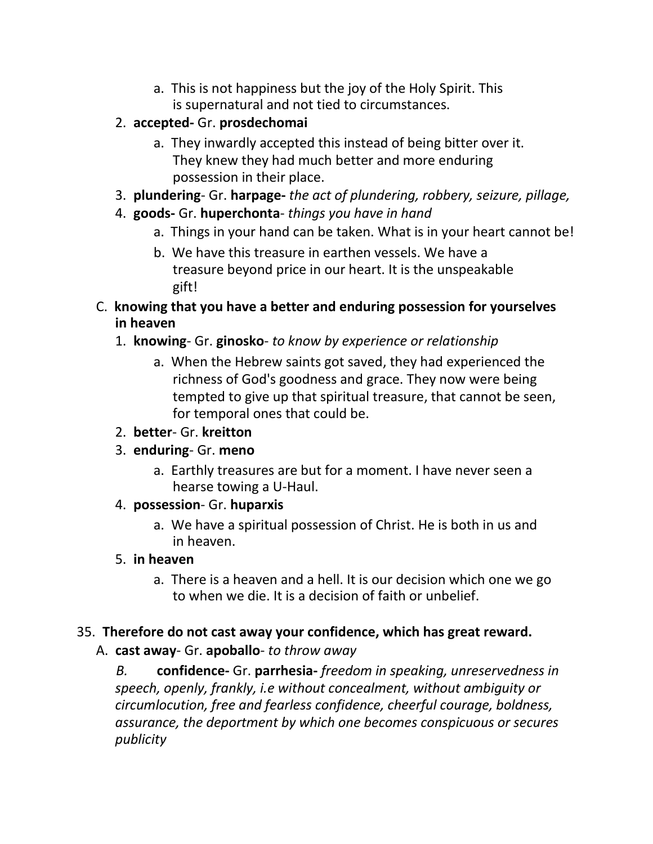- a. This is not happiness but the joy of the Holy Spirit. This is supernatural and not tied to circumstances.
- 2. **accepted-** Gr. **prosdechomai**
	- a. They inwardly accepted this instead of being bitter over it. They knew they had much better and more enduring possession in their place.
- 3. **plundering** Gr. **harpage-** *the act of plundering, robbery, seizure, pillage,*
- 4. **goods-** Gr. **huperchonta** *things you have in hand*
	- a. Things in your hand can be taken. What is in your heart cannot be!
	- b. We have this treasure in earthen vessels. We have a treasure beyond price in our heart. It is the unspeakable gift!
- C. **knowing that you have a better and enduring possession for yourselves in heaven**
	- 1. **knowing** Gr. **ginosko** *to know by experience or relationship*
		- a. When the Hebrew saints got saved, they had experienced the richness of God's goodness and grace. They now were being tempted to give up that spiritual treasure, that cannot be seen, for temporal ones that could be.
	- 2. **better** Gr. **kreitton**
	- 3. **enduring** Gr. **meno**
		- a. Earthly treasures are but for a moment. I have never seen a hearse towing a U-Haul.
	- 4. **possession** Gr. **huparxis**
		- a. We have a spiritual possession of Christ. He is both in us and in heaven.
	- 5. **in heaven**
		- a. There is a heaven and a hell. It is our decision which one we go to when we die. It is a decision of faith or unbelief.

#### 35. **Therefore do not cast away your confidence, which has great reward.**

A. **cast away**- Gr. **apoballo**- *to throw away*

*B.* **confidence-** Gr. **parrhesia-** *freedom in speaking, unreservedness in speech, openly, frankly, i.e without concealment, without ambiguity or circumlocution, free and fearless confidence, cheerful courage, boldness, assurance, the deportment by which one becomes conspicuous or secures publicity*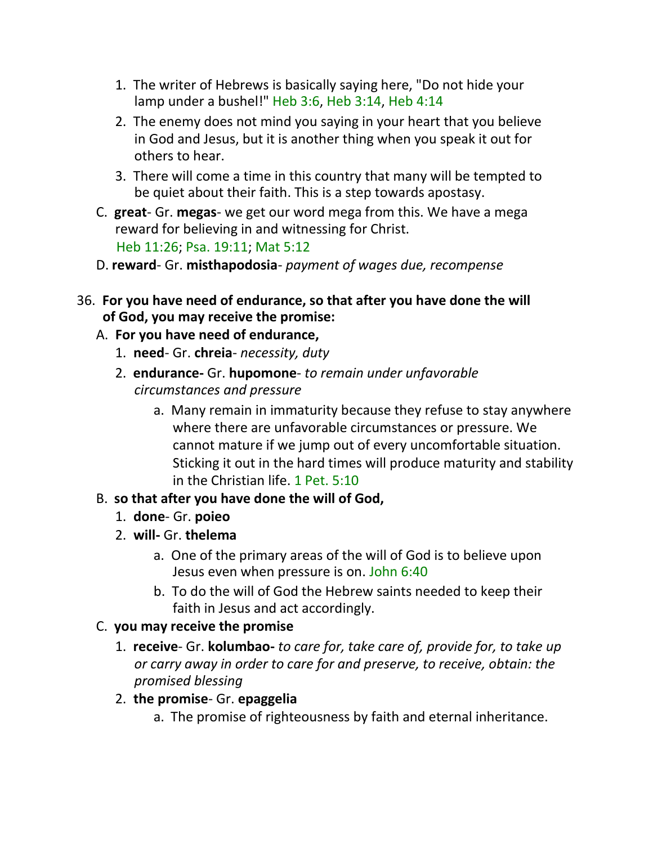- 1. The writer of Hebrews is basically saying here, "Do not hide your lamp under a bushel!" Heb 3:6, Heb 3:14, Heb 4:14
- 2. The enemy does not mind you saying in your heart that you believe in God and Jesus, but it is another thing when you speak it out for others to hear.
- 3. There will come a time in this country that many will be tempted to be quiet about their faith. This is a step towards apostasy.
- C. **great** Gr. **megas** we get our word mega from this. We have a mega reward for believing in and witnessing for Christ. Heb 11:26; Psa. 19:11; Mat 5:12
- D. **reward** Gr. **misthapodosia** *payment of wages due, recompense*
- 36. **For you have need of endurance, so that after you have done the will of God, you may receive the promise:**
	- A. **For you have need of endurance,**
		- 1. **need** Gr. **chreia** *necessity, duty*
		- 2. **endurance-** Gr. **hupomone** *to remain under unfavorable circumstances and pressure*
			- a. Many remain in immaturity because they refuse to stay anywhere where there are unfavorable circumstances or pressure. We cannot mature if we jump out of every uncomfortable situation. Sticking it out in the hard times will produce maturity and stability in the Christian life. 1 Pet. 5:10

# B. **so that after you have done the will of God,**

- 1. **done** Gr. **poieo**
- 2. **will-** Gr. **thelema**
	- a. One of the primary areas of the will of God is to believe upon Jesus even when pressure is on. John 6:40
	- b. To do the will of God the Hebrew saints needed to keep their faith in Jesus and act accordingly.

# C. **you may receive the promise**

- 1. **receive** Gr. **kolumbao-** *to care for, take care of, provide for, to take up or carry away in order to care for and preserve, to receive, obtain: the promised blessing*
- 2. **the promise** Gr. **epaggelia**
	- a. The promise of righteousness by faith and eternal inheritance.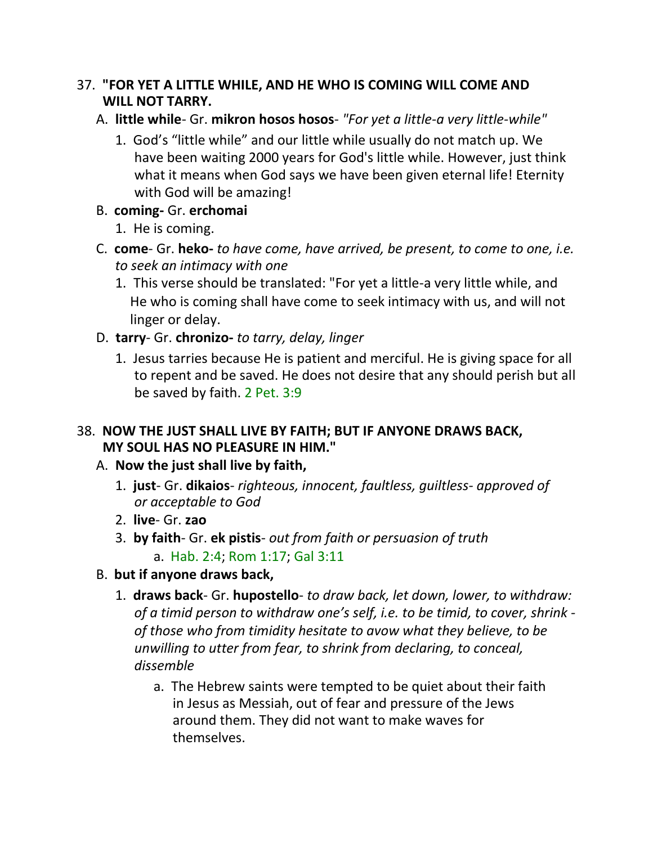### 37. **"FOR YET A LITTLE WHILE, AND HE WHO IS COMING WILL COME AND WILL NOT TARRY.**

## A. **little while**- Gr. **mikron hosos hosos**- *"For yet a little-a very little-while"*

1. God's "little while" and our little while usually do not match up. We have been waiting 2000 years for God's little while. However, just think what it means when God says we have been given eternal life! Eternity with God will be amazing!

## B. **coming-** Gr. **erchomai**

- 1. He is coming.
- C. **come** Gr. **heko-** *to have come, have arrived, be present, to come to one, i.e. to seek an intimacy with one*
	- 1. This verse should be translated: "For yet a little-a very little while, and He who is coming shall have come to seek intimacy with us, and will not linger or delay.
- D. **tarry** Gr. **chronizo-** *to tarry, delay, linger*
	- 1. Jesus tarries because He is patient and merciful. He is giving space for all to repent and be saved. He does not desire that any should perish but all be saved by faith. 2 Pet. 3:9

## 38. **NOW THE JUST SHALL LIVE BY FAITH; BUT IF ANYONE DRAWS BACK, MY SOUL HAS NO PLEASURE IN HIM."**

# A. **Now the just shall live by faith,**

- 1. **just** Gr. **dikaios** *righteous, innocent, faultless, guiltless- approved of or acceptable to God*
- 2. **live** Gr. **zao**
- 3. **by faith** Gr. **ek pistis** *out from faith or persuasion of truth* a. Hab. 2:4; Rom 1:17; Gal 3:11
- B. **but if anyone draws back,**
	- 1. **draws back** Gr. **hupostello** *to draw back, let down, lower, to withdraw: of a timid person to withdraw one's self, i.e. to be timid, to cover, shrink of those who from timidity hesitate to avow what they believe, to be unwilling to utter from fear, to shrink from declaring, to conceal, dissemble*
		- a. The Hebrew saints were tempted to be quiet about their faith in Jesus as Messiah, out of fear and pressure of the Jews around them. They did not want to make waves for themselves.